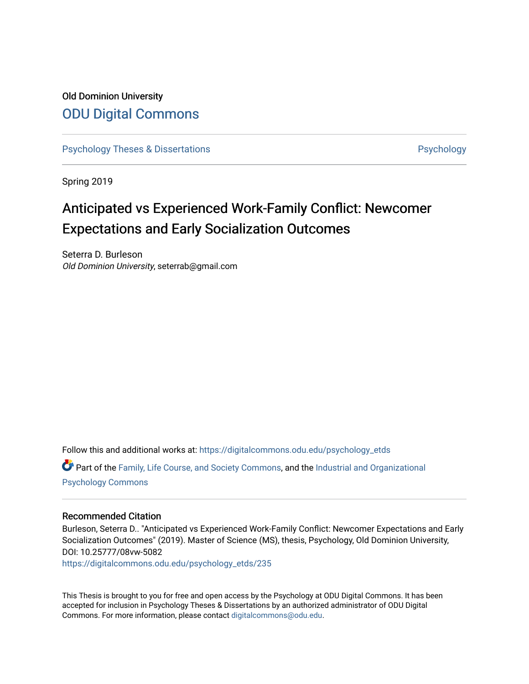# Old Dominion University [ODU Digital Commons](https://digitalcommons.odu.edu/)

[Psychology Theses & Dissertations](https://digitalcommons.odu.edu/psychology_etds) **Psychology** Psychology

Spring 2019

# Anticipated vs Experienced Work-Family Conflict: Newcomer Expectations and Early Socialization Outcomes

Seterra D. Burleson Old Dominion University, seterrab@gmail.com

Follow this and additional works at: [https://digitalcommons.odu.edu/psychology\\_etds](https://digitalcommons.odu.edu/psychology_etds?utm_source=digitalcommons.odu.edu%2Fpsychology_etds%2F235&utm_medium=PDF&utm_campaign=PDFCoverPages)

Part of the [Family, Life Course, and Society Commons,](http://network.bepress.com/hgg/discipline/419?utm_source=digitalcommons.odu.edu%2Fpsychology_etds%2F235&utm_medium=PDF&utm_campaign=PDFCoverPages) and the [Industrial and Organizational](http://network.bepress.com/hgg/discipline/412?utm_source=digitalcommons.odu.edu%2Fpsychology_etds%2F235&utm_medium=PDF&utm_campaign=PDFCoverPages)  [Psychology Commons](http://network.bepress.com/hgg/discipline/412?utm_source=digitalcommons.odu.edu%2Fpsychology_etds%2F235&utm_medium=PDF&utm_campaign=PDFCoverPages) 

#### Recommended Citation

Burleson, Seterra D.. "Anticipated vs Experienced Work-Family Conflict: Newcomer Expectations and Early Socialization Outcomes" (2019). Master of Science (MS), thesis, Psychology, Old Dominion University, DOI: 10.25777/08vw-5082

[https://digitalcommons.odu.edu/psychology\\_etds/235](https://digitalcommons.odu.edu/psychology_etds/235?utm_source=digitalcommons.odu.edu%2Fpsychology_etds%2F235&utm_medium=PDF&utm_campaign=PDFCoverPages)

This Thesis is brought to you for free and open access by the Psychology at ODU Digital Commons. It has been accepted for inclusion in Psychology Theses & Dissertations by an authorized administrator of ODU Digital Commons. For more information, please contact [digitalcommons@odu.edu](mailto:digitalcommons@odu.edu).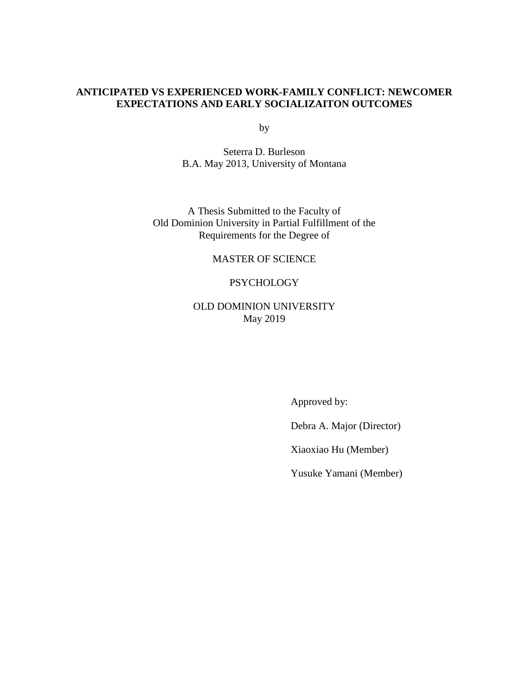# **ANTICIPATED VS EXPERIENCED WORK-FAMILY CONFLICT: NEWCOMER EXPECTATIONS AND EARLY SOCIALIZAITON OUTCOMES**

by

Seterra D. Burleson B.A. May 2013, University of Montana

A Thesis Submitted to the Faculty of Old Dominion University in Partial Fulfillment of the Requirements for the Degree of

### MASTER OF SCIENCE

#### **PSYCHOLOGY**

# OLD DOMINION UNIVERSITY May 2019

Approved by:

Debra A. Major (Director)

Xiaoxiao Hu (Member)

Yusuke Yamani (Member)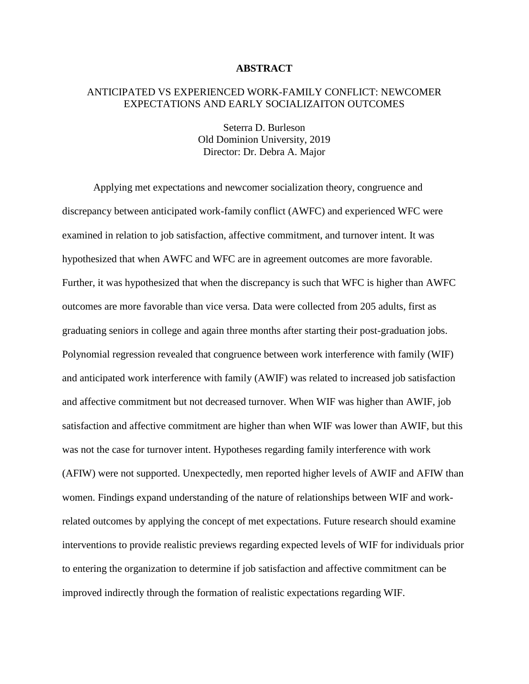#### **ABSTRACT**

### ANTICIPATED VS EXPERIENCED WORK-FAMILY CONFLICT: NEWCOMER EXPECTATIONS AND EARLY SOCIALIZAITON OUTCOMES

Seterra D. Burleson Old Dominion University, 2019 Director: Dr. Debra A. Major

Applying met expectations and newcomer socialization theory, congruence and discrepancy between anticipated work-family conflict (AWFC) and experienced WFC were examined in relation to job satisfaction, affective commitment, and turnover intent. It was hypothesized that when AWFC and WFC are in agreement outcomes are more favorable. Further, it was hypothesized that when the discrepancy is such that WFC is higher than AWFC outcomes are more favorable than vice versa. Data were collected from 205 adults, first as graduating seniors in college and again three months after starting their post-graduation jobs. Polynomial regression revealed that congruence between work interference with family (WIF) and anticipated work interference with family (AWIF) was related to increased job satisfaction and affective commitment but not decreased turnover. When WIF was higher than AWIF, job satisfaction and affective commitment are higher than when WIF was lower than AWIF, but this was not the case for turnover intent. Hypotheses regarding family interference with work (AFIW) were not supported. Unexpectedly, men reported higher levels of AWIF and AFIW than women. Findings expand understanding of the nature of relationships between WIF and workrelated outcomes by applying the concept of met expectations. Future research should examine interventions to provide realistic previews regarding expected levels of WIF for individuals prior to entering the organization to determine if job satisfaction and affective commitment can be improved indirectly through the formation of realistic expectations regarding WIF.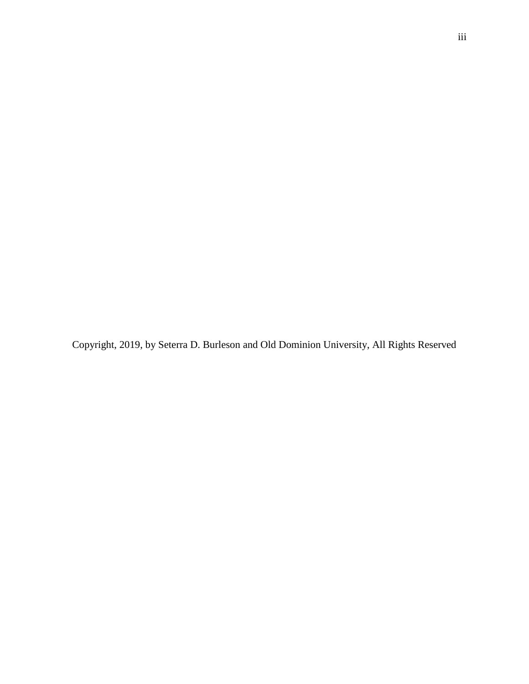Copyright, 2019, by Seterra D. Burleson and Old Dominion University, All Rights Reserved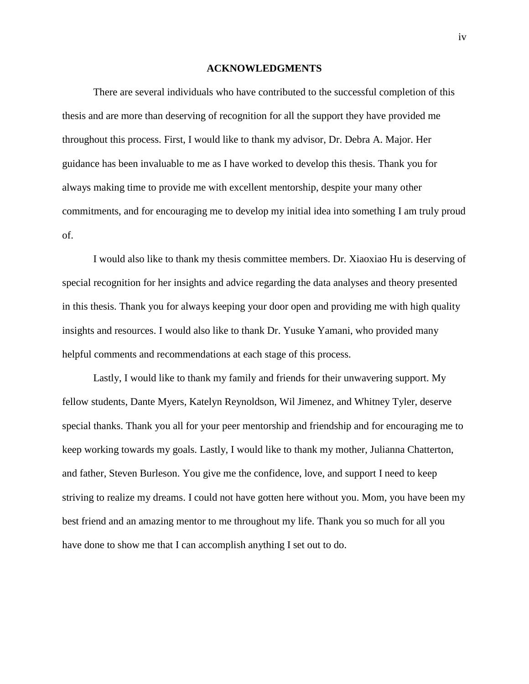#### **ACKNOWLEDGMENTS**

There are several individuals who have contributed to the successful completion of this thesis and are more than deserving of recognition for all the support they have provided me throughout this process. First, I would like to thank my advisor, Dr. Debra A. Major. Her guidance has been invaluable to me as I have worked to develop this thesis. Thank you for always making time to provide me with excellent mentorship, despite your many other commitments, and for encouraging me to develop my initial idea into something I am truly proud of.

I would also like to thank my thesis committee members. Dr. Xiaoxiao Hu is deserving of special recognition for her insights and advice regarding the data analyses and theory presented in this thesis. Thank you for always keeping your door open and providing me with high quality insights and resources. I would also like to thank Dr. Yusuke Yamani, who provided many helpful comments and recommendations at each stage of this process.

Lastly, I would like to thank my family and friends for their unwavering support. My fellow students, Dante Myers, Katelyn Reynoldson, Wil Jimenez, and Whitney Tyler, deserve special thanks. Thank you all for your peer mentorship and friendship and for encouraging me to keep working towards my goals. Lastly, I would like to thank my mother, Julianna Chatterton, and father, Steven Burleson. You give me the confidence, love, and support I need to keep striving to realize my dreams. I could not have gotten here without you. Mom, you have been my best friend and an amazing mentor to me throughout my life. Thank you so much for all you have done to show me that I can accomplish anything I set out to do.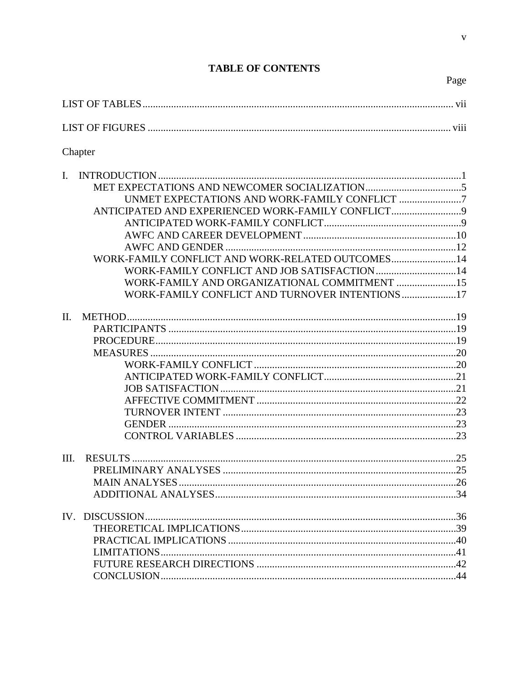| Chapter                                                                                                                                                                                                                                                                    |
|----------------------------------------------------------------------------------------------------------------------------------------------------------------------------------------------------------------------------------------------------------------------------|
| $\mathbf{I}$ .<br>UNMET EXPECTATIONS AND WORK-FAMILY CONFLICT 7<br>ANTICIPATED AND EXPERIENCED WORK-FAMILY CONFLICT<br>WORK-FAMILY CONFLICT AND WORK-RELATED OUTCOMES14<br>WORK-FAMILY AND ORGANIZATIONAL COMMITMENT 15<br>WORK-FAMILY CONFLICT AND TURNOVER INTENTIONS 17 |
| II.                                                                                                                                                                                                                                                                        |
| III.                                                                                                                                                                                                                                                                       |
|                                                                                                                                                                                                                                                                            |

# **TABLE OF CONTENTS**

Page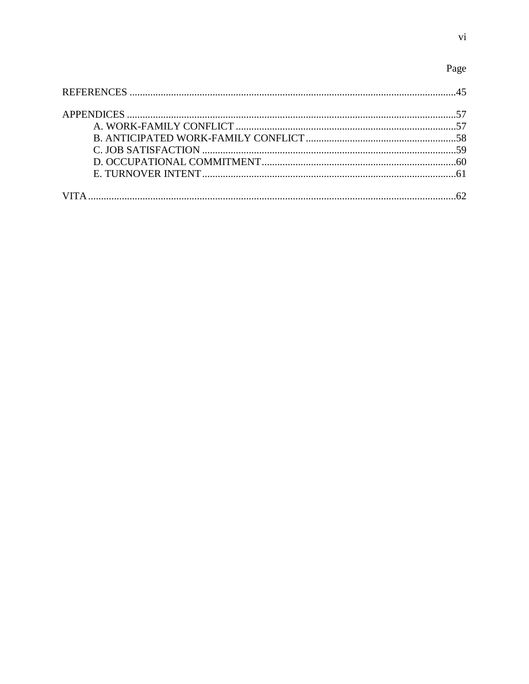# Page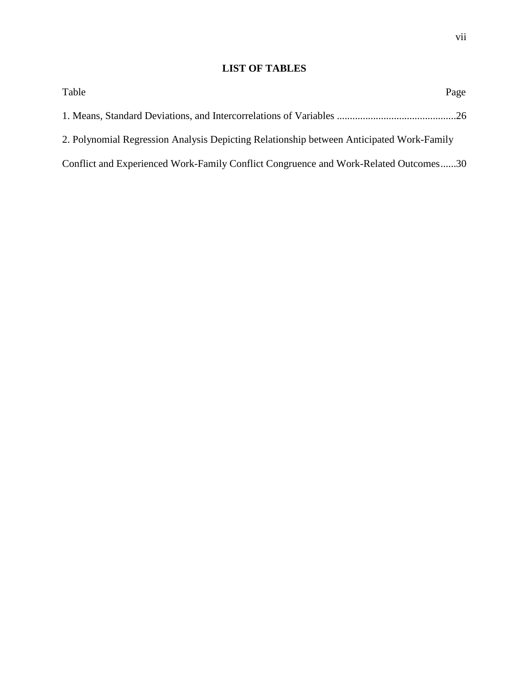# **LIST OF TABLES**

| Table                                                                                    | Page |
|------------------------------------------------------------------------------------------|------|
|                                                                                          |      |
| 2. Polynomial Regression Analysis Depicting Relationship between Anticipated Work-Family |      |
| Conflict and Experienced Work-Family Conflict Congruence and Work-Related Outcomes30     |      |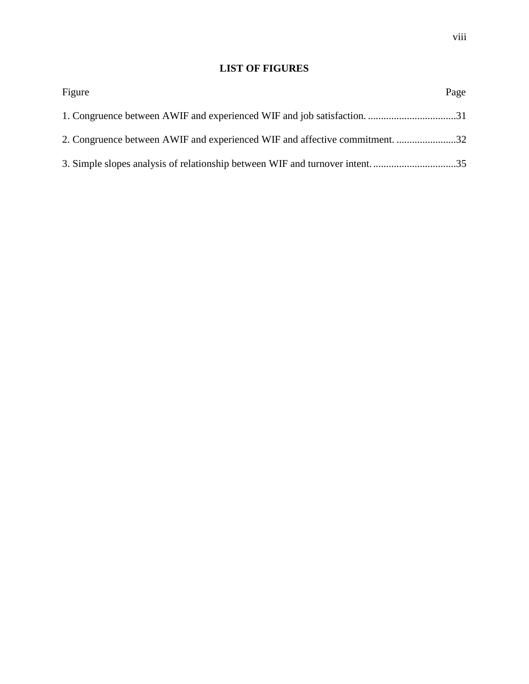# **LIST OF FIGURES**

| Figure                                                                      | Page |
|-----------------------------------------------------------------------------|------|
|                                                                             |      |
| 2. Congruence between AWIF and experienced WIF and affective commitment. 32 |      |
|                                                                             |      |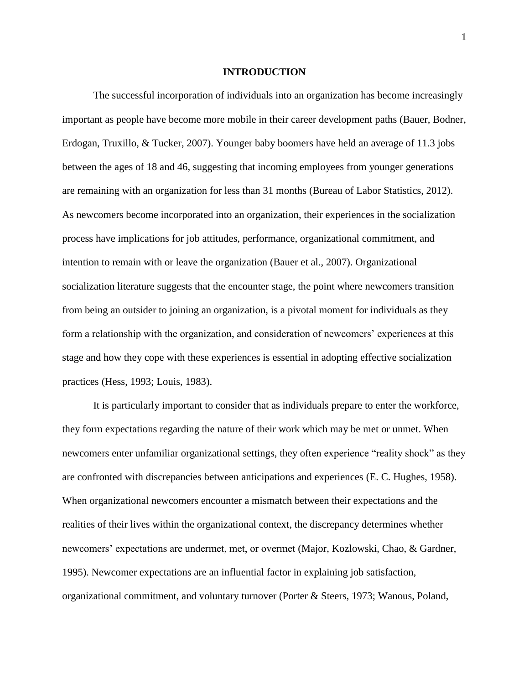#### **INTRODUCTION**

The successful incorporation of individuals into an organization has become increasingly important as people have become more mobile in their career development paths (Bauer, Bodner, Erdogan, Truxillo, & Tucker, 2007). Younger baby boomers have held an average of 11.3 jobs between the ages of 18 and 46, suggesting that incoming employees from younger generations are remaining with an organization for less than 31 months (Bureau of Labor Statistics, 2012). As newcomers become incorporated into an organization, their experiences in the socialization process have implications for job attitudes, performance, organizational commitment, and intention to remain with or leave the organization (Bauer et al., 2007). Organizational socialization literature suggests that the encounter stage, the point where newcomers transition from being an outsider to joining an organization, is a pivotal moment for individuals as they form a relationship with the organization, and consideration of newcomers' experiences at this stage and how they cope with these experiences is essential in adopting effective socialization practices (Hess, 1993; Louis, 1983).

It is particularly important to consider that as individuals prepare to enter the workforce, they form expectations regarding the nature of their work which may be met or unmet. When newcomers enter unfamiliar organizational settings, they often experience "reality shock" as they are confronted with discrepancies between anticipations and experiences (E. C. Hughes, 1958). When organizational newcomers encounter a mismatch between their expectations and the realities of their lives within the organizational context, the discrepancy determines whether newcomers' expectations are undermet, met, or overmet (Major, Kozlowski, Chao, & Gardner, 1995). Newcomer expectations are an influential factor in explaining job satisfaction, organizational commitment, and voluntary turnover (Porter & Steers, 1973; Wanous, Poland,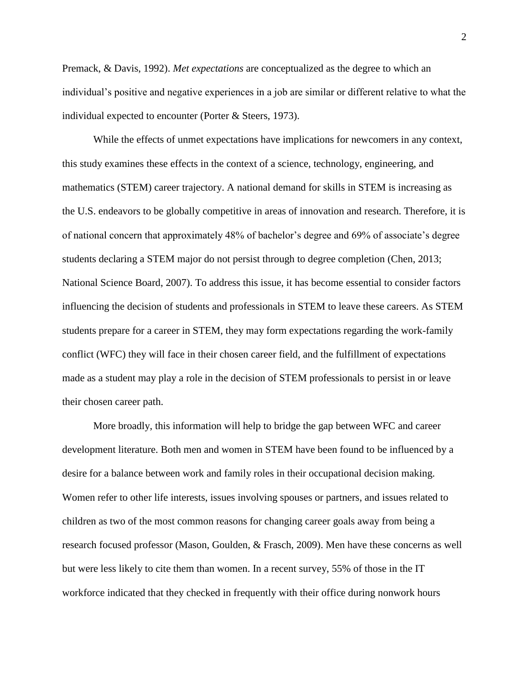Premack, & Davis, 1992). *Met expectations* are conceptualized as the degree to which an individual's positive and negative experiences in a job are similar or different relative to what the individual expected to encounter (Porter & Steers, 1973).

While the effects of unmet expectations have implications for newcomers in any context, this study examines these effects in the context of a science, technology, engineering, and mathematics (STEM) career trajectory. A national demand for skills in STEM is increasing as the U.S. endeavors to be globally competitive in areas of innovation and research. Therefore, it is of national concern that approximately 48% of bachelor's degree and 69% of associate's degree students declaring a STEM major do not persist through to degree completion (Chen, 2013; National Science Board, 2007). To address this issue, it has become essential to consider factors influencing the decision of students and professionals in STEM to leave these careers. As STEM students prepare for a career in STEM, they may form expectations regarding the work-family conflict (WFC) they will face in their chosen career field, and the fulfillment of expectations made as a student may play a role in the decision of STEM professionals to persist in or leave their chosen career path.

More broadly, this information will help to bridge the gap between WFC and career development literature. Both men and women in STEM have been found to be influenced by a desire for a balance between work and family roles in their occupational decision making. Women refer to other life interests, issues involving spouses or partners, and issues related to children as two of the most common reasons for changing career goals away from being a research focused professor (Mason, Goulden, & Frasch, 2009). Men have these concerns as well but were less likely to cite them than women. In a recent survey, 55% of those in the IT workforce indicated that they checked in frequently with their office during nonwork hours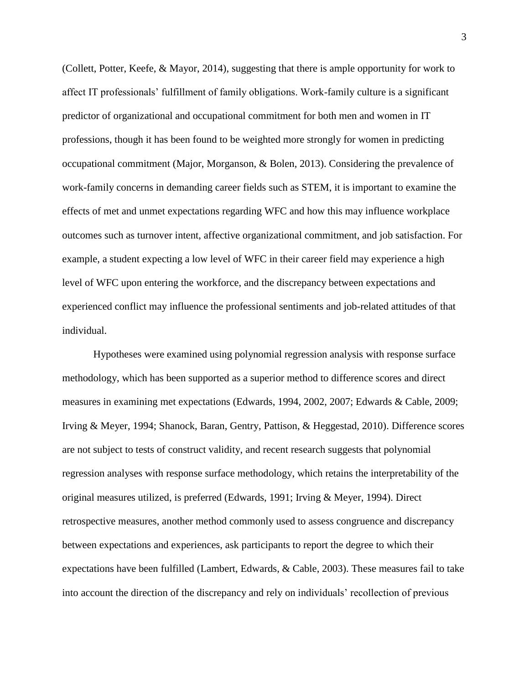(Collett, Potter, Keefe, & Mayor, 2014), suggesting that there is ample opportunity for work to affect IT professionals' fulfillment of family obligations. Work-family culture is a significant predictor of organizational and occupational commitment for both men and women in IT professions, though it has been found to be weighted more strongly for women in predicting occupational commitment (Major, Morganson, & Bolen, 2013). Considering the prevalence of work-family concerns in demanding career fields such as STEM, it is important to examine the effects of met and unmet expectations regarding WFC and how this may influence workplace outcomes such as turnover intent, affective organizational commitment, and job satisfaction. For example, a student expecting a low level of WFC in their career field may experience a high level of WFC upon entering the workforce, and the discrepancy between expectations and experienced conflict may influence the professional sentiments and job-related attitudes of that individual.

Hypotheses were examined using polynomial regression analysis with response surface methodology, which has been supported as a superior method to difference scores and direct measures in examining met expectations (Edwards, 1994, 2002, 2007; Edwards & Cable, 2009; Irving & Meyer, 1994; Shanock, Baran, Gentry, Pattison, & Heggestad, 2010). Difference scores are not subject to tests of construct validity, and recent research suggests that polynomial regression analyses with response surface methodology, which retains the interpretability of the original measures utilized, is preferred (Edwards, 1991; Irving & Meyer, 1994). Direct retrospective measures, another method commonly used to assess congruence and discrepancy between expectations and experiences, ask participants to report the degree to which their expectations have been fulfilled (Lambert, Edwards, & Cable, 2003). These measures fail to take into account the direction of the discrepancy and rely on individuals' recollection of previous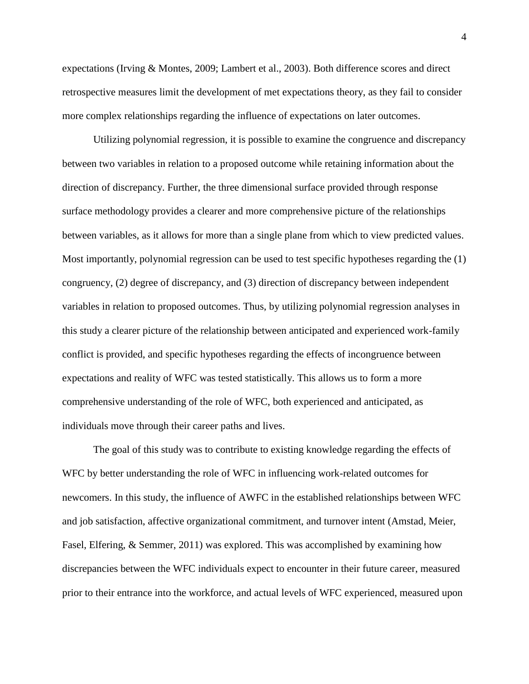expectations (Irving & Montes, 2009; Lambert et al., 2003). Both difference scores and direct retrospective measures limit the development of met expectations theory, as they fail to consider more complex relationships regarding the influence of expectations on later outcomes.

Utilizing polynomial regression, it is possible to examine the congruence and discrepancy between two variables in relation to a proposed outcome while retaining information about the direction of discrepancy. Further, the three dimensional surface provided through response surface methodology provides a clearer and more comprehensive picture of the relationships between variables, as it allows for more than a single plane from which to view predicted values. Most importantly, polynomial regression can be used to test specific hypotheses regarding the (1) congruency, (2) degree of discrepancy, and (3) direction of discrepancy between independent variables in relation to proposed outcomes. Thus, by utilizing polynomial regression analyses in this study a clearer picture of the relationship between anticipated and experienced work-family conflict is provided, and specific hypotheses regarding the effects of incongruence between expectations and reality of WFC was tested statistically. This allows us to form a more comprehensive understanding of the role of WFC, both experienced and anticipated, as individuals move through their career paths and lives.

The goal of this study was to contribute to existing knowledge regarding the effects of WFC by better understanding the role of WFC in influencing work-related outcomes for newcomers. In this study, the influence of AWFC in the established relationships between WFC and job satisfaction, affective organizational commitment, and turnover intent (Amstad, Meier, Fasel, Elfering, & Semmer, 2011) was explored. This was accomplished by examining how discrepancies between the WFC individuals expect to encounter in their future career, measured prior to their entrance into the workforce, and actual levels of WFC experienced, measured upon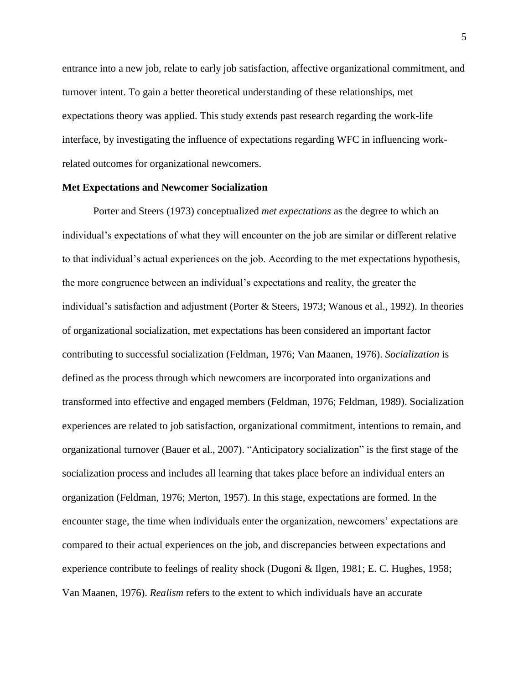entrance into a new job, relate to early job satisfaction, affective organizational commitment, and turnover intent. To gain a better theoretical understanding of these relationships, met expectations theory was applied. This study extends past research regarding the work-life interface, by investigating the influence of expectations regarding WFC in influencing workrelated outcomes for organizational newcomers.

#### **Met Expectations and Newcomer Socialization**

Porter and Steers (1973) conceptualized *met expectations* as the degree to which an individual's expectations of what they will encounter on the job are similar or different relative to that individual's actual experiences on the job. According to the met expectations hypothesis, the more congruence between an individual's expectations and reality, the greater the individual's satisfaction and adjustment (Porter & Steers, 1973; Wanous et al., 1992). In theories of organizational socialization, met expectations has been considered an important factor contributing to successful socialization (Feldman, 1976; Van Maanen, 1976). *Socialization* is defined as the process through which newcomers are incorporated into organizations and transformed into effective and engaged members (Feldman, 1976; Feldman, 1989). Socialization experiences are related to job satisfaction, organizational commitment, intentions to remain, and organizational turnover (Bauer et al., 2007). "Anticipatory socialization" is the first stage of the socialization process and includes all learning that takes place before an individual enters an organization (Feldman, 1976; Merton, 1957). In this stage, expectations are formed. In the encounter stage, the time when individuals enter the organization, newcomers' expectations are compared to their actual experiences on the job, and discrepancies between expectations and experience contribute to feelings of reality shock (Dugoni & Ilgen, 1981; E. C. Hughes, 1958; Van Maanen, 1976). *Realism* refers to the extent to which individuals have an accurate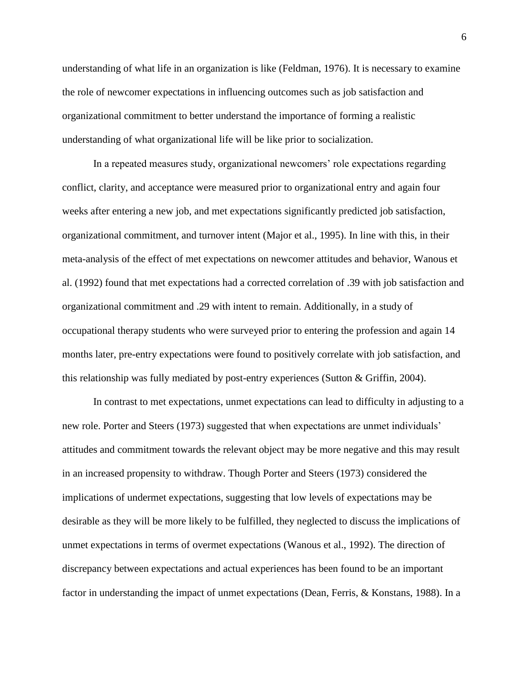understanding of what life in an organization is like (Feldman, 1976). It is necessary to examine the role of newcomer expectations in influencing outcomes such as job satisfaction and organizational commitment to better understand the importance of forming a realistic understanding of what organizational life will be like prior to socialization.

In a repeated measures study, organizational newcomers' role expectations regarding conflict, clarity, and acceptance were measured prior to organizational entry and again four weeks after entering a new job, and met expectations significantly predicted job satisfaction, organizational commitment, and turnover intent (Major et al., 1995). In line with this, in their meta-analysis of the effect of met expectations on newcomer attitudes and behavior, Wanous et al. (1992) found that met expectations had a corrected correlation of .39 with job satisfaction and organizational commitment and .29 with intent to remain. Additionally, in a study of occupational therapy students who were surveyed prior to entering the profession and again 14 months later, pre-entry expectations were found to positively correlate with job satisfaction, and this relationship was fully mediated by post-entry experiences (Sutton & Griffin, 2004).

In contrast to met expectations, unmet expectations can lead to difficulty in adjusting to a new role. Porter and Steers (1973) suggested that when expectations are unmet individuals' attitudes and commitment towards the relevant object may be more negative and this may result in an increased propensity to withdraw. Though Porter and Steers (1973) considered the implications of undermet expectations, suggesting that low levels of expectations may be desirable as they will be more likely to be fulfilled, they neglected to discuss the implications of unmet expectations in terms of overmet expectations (Wanous et al., 1992). The direction of discrepancy between expectations and actual experiences has been found to be an important factor in understanding the impact of unmet expectations (Dean, Ferris, & Konstans, 1988). In a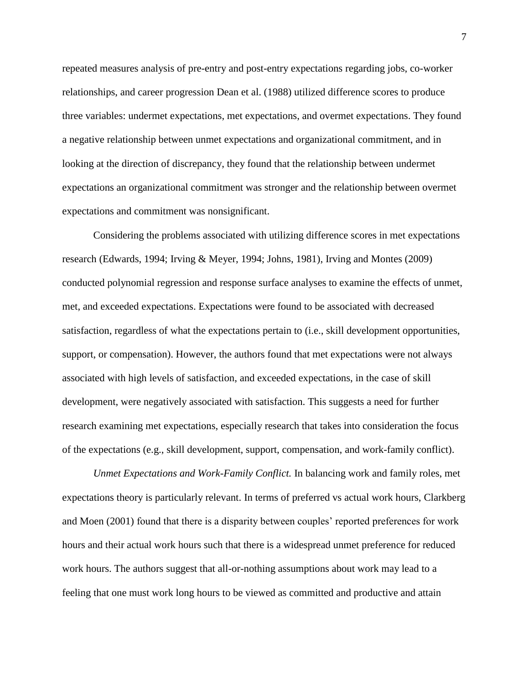repeated measures analysis of pre-entry and post-entry expectations regarding jobs, co-worker relationships, and career progression Dean et al. (1988) utilized difference scores to produce three variables: undermet expectations, met expectations, and overmet expectations. They found a negative relationship between unmet expectations and organizational commitment, and in looking at the direction of discrepancy, they found that the relationship between undermet expectations an organizational commitment was stronger and the relationship between overmet expectations and commitment was nonsignificant.

Considering the problems associated with utilizing difference scores in met expectations research (Edwards, 1994; Irving & Meyer, 1994; Johns, 1981), Irving and Montes (2009) conducted polynomial regression and response surface analyses to examine the effects of unmet, met, and exceeded expectations. Expectations were found to be associated with decreased satisfaction, regardless of what the expectations pertain to (i.e., skill development opportunities, support, or compensation). However, the authors found that met expectations were not always associated with high levels of satisfaction, and exceeded expectations, in the case of skill development, were negatively associated with satisfaction. This suggests a need for further research examining met expectations, especially research that takes into consideration the focus of the expectations (e.g., skill development, support, compensation, and work-family conflict).

*Unmet Expectations and Work-Family Conflict.* In balancing work and family roles, met expectations theory is particularly relevant. In terms of preferred vs actual work hours, Clarkberg and Moen (2001) found that there is a disparity between couples' reported preferences for work hours and their actual work hours such that there is a widespread unmet preference for reduced work hours. The authors suggest that all-or-nothing assumptions about work may lead to a feeling that one must work long hours to be viewed as committed and productive and attain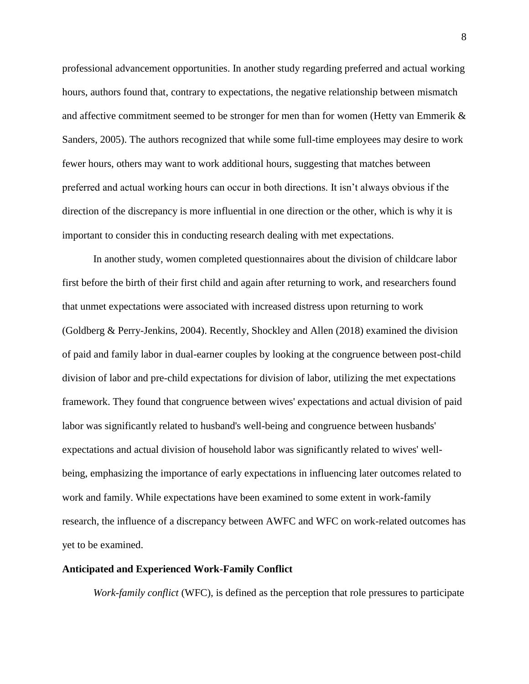professional advancement opportunities. In another study regarding preferred and actual working hours, authors found that, contrary to expectations, the negative relationship between mismatch and affective commitment seemed to be stronger for men than for women (Hetty van Emmerik & Sanders, 2005). The authors recognized that while some full-time employees may desire to work fewer hours, others may want to work additional hours, suggesting that matches between preferred and actual working hours can occur in both directions. It isn't always obvious if the direction of the discrepancy is more influential in one direction or the other, which is why it is important to consider this in conducting research dealing with met expectations.

In another study, women completed questionnaires about the division of childcare labor first before the birth of their first child and again after returning to work, and researchers found that unmet expectations were associated with increased distress upon returning to work (Goldberg & Perry-Jenkins, 2004). Recently, Shockley and Allen (2018) examined the division of paid and family labor in dual-earner couples by looking at the congruence between post-child division of labor and pre-child expectations for division of labor, utilizing the met expectations framework. They found that congruence between wives' expectations and actual division of paid labor was significantly related to husband's well-being and congruence between husbands' expectations and actual division of household labor was significantly related to wives' wellbeing, emphasizing the importance of early expectations in influencing later outcomes related to work and family. While expectations have been examined to some extent in work-family research, the influence of a discrepancy between AWFC and WFC on work-related outcomes has yet to be examined.

#### **Anticipated and Experienced Work-Family Conflict**

*Work-family conflict* (WFC), is defined as the perception that role pressures to participate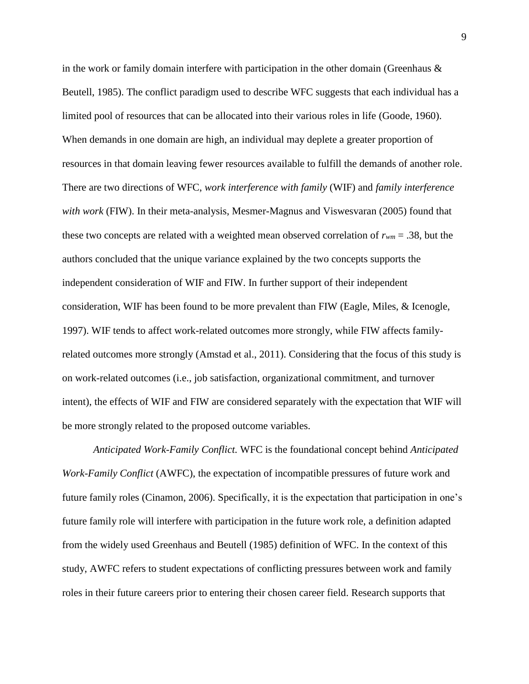in the work or family domain interfere with participation in the other domain (Greenhaus & Beutell, 1985). The conflict paradigm used to describe WFC suggests that each individual has a limited pool of resources that can be allocated into their various roles in life (Goode, 1960). When demands in one domain are high, an individual may deplete a greater proportion of resources in that domain leaving fewer resources available to fulfill the demands of another role. There are two directions of WFC, *work interference with family* (WIF) and *family interference with work* (FIW). In their meta-analysis, Mesmer-Magnus and Viswesvaran (2005) found that these two concepts are related with a weighted mean observed correlation of *rwm* = .38, but the authors concluded that the unique variance explained by the two concepts supports the independent consideration of WIF and FIW. In further support of their independent consideration, WIF has been found to be more prevalent than FIW (Eagle, Miles, & Icenogle, 1997). WIF tends to affect work-related outcomes more strongly, while FIW affects familyrelated outcomes more strongly (Amstad et al., 2011). Considering that the focus of this study is on work-related outcomes (i.e., job satisfaction, organizational commitment, and turnover intent), the effects of WIF and FIW are considered separately with the expectation that WIF will be more strongly related to the proposed outcome variables.

*Anticipated Work-Family Conflict.* WFC is the foundational concept behind *Anticipated Work-Family Conflict* (AWFC), the expectation of incompatible pressures of future work and future family roles (Cinamon, 2006). Specifically, it is the expectation that participation in one's future family role will interfere with participation in the future work role, a definition adapted from the widely used Greenhaus and Beutell (1985) definition of WFC. In the context of this study, AWFC refers to student expectations of conflicting pressures between work and family roles in their future careers prior to entering their chosen career field. Research supports that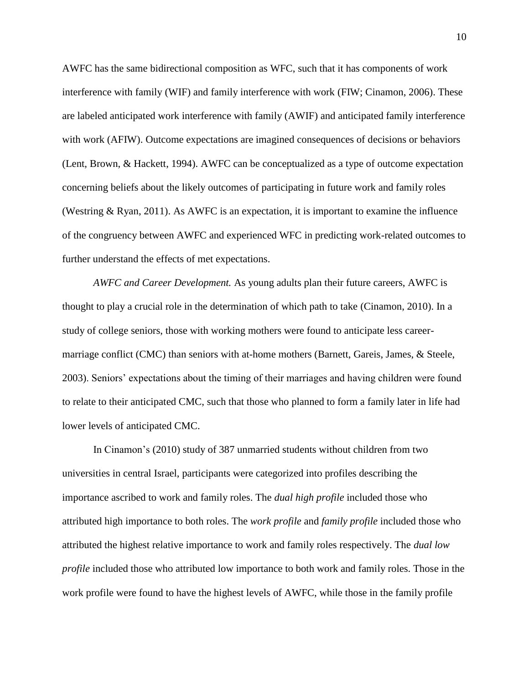AWFC has the same bidirectional composition as WFC, such that it has components of work interference with family (WIF) and family interference with work (FIW; Cinamon, 2006). These are labeled anticipated work interference with family (AWIF) and anticipated family interference with work (AFIW). Outcome expectations are imagined consequences of decisions or behaviors (Lent, Brown, & Hackett, 1994). AWFC can be conceptualized as a type of outcome expectation concerning beliefs about the likely outcomes of participating in future work and family roles (Westring & Ryan, 2011). As AWFC is an expectation, it is important to examine the influence of the congruency between AWFC and experienced WFC in predicting work-related outcomes to further understand the effects of met expectations.

*AWFC and Career Development.* As young adults plan their future careers, AWFC is thought to play a crucial role in the determination of which path to take (Cinamon, 2010). In a study of college seniors, those with working mothers were found to anticipate less careermarriage conflict (CMC) than seniors with at-home mothers (Barnett, Gareis, James, & Steele, 2003). Seniors' expectations about the timing of their marriages and having children were found to relate to their anticipated CMC, such that those who planned to form a family later in life had lower levels of anticipated CMC.

In Cinamon's (2010) study of 387 unmarried students without children from two universities in central Israel, participants were categorized into profiles describing the importance ascribed to work and family roles. The *dual high profile* included those who attributed high importance to both roles. The *work profile* and *family profile* included those who attributed the highest relative importance to work and family roles respectively. The *dual low profile* included those who attributed low importance to both work and family roles. Those in the work profile were found to have the highest levels of AWFC, while those in the family profile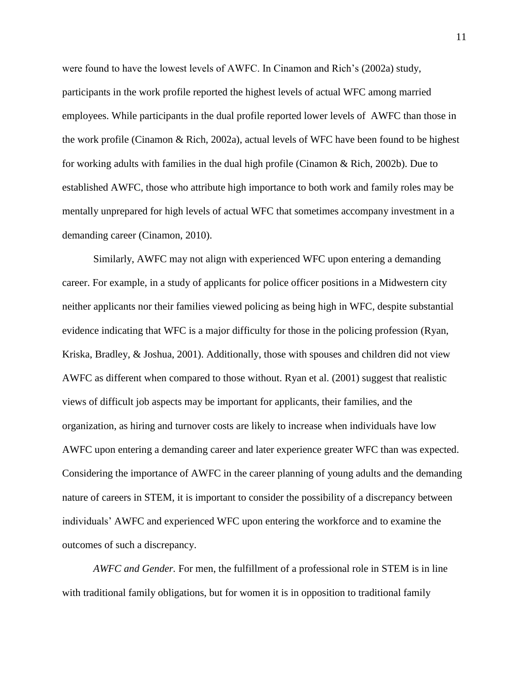were found to have the lowest levels of AWFC. In Cinamon and Rich's (2002a) study, participants in the work profile reported the highest levels of actual WFC among married employees. While participants in the dual profile reported lower levels of AWFC than those in the work profile (Cinamon & Rich, 2002a), actual levels of WFC have been found to be highest for working adults with families in the dual high profile (Cinamon & Rich, 2002b). Due to established AWFC, those who attribute high importance to both work and family roles may be mentally unprepared for high levels of actual WFC that sometimes accompany investment in a demanding career (Cinamon, 2010).

Similarly, AWFC may not align with experienced WFC upon entering a demanding career. For example, in a study of applicants for police officer positions in a Midwestern city neither applicants nor their families viewed policing as being high in WFC, despite substantial evidence indicating that WFC is a major difficulty for those in the policing profession (Ryan, Kriska, Bradley, & Joshua, 2001). Additionally, those with spouses and children did not view AWFC as different when compared to those without. Ryan et al. (2001) suggest that realistic views of difficult job aspects may be important for applicants, their families, and the organization, as hiring and turnover costs are likely to increase when individuals have low AWFC upon entering a demanding career and later experience greater WFC than was expected. Considering the importance of AWFC in the career planning of young adults and the demanding nature of careers in STEM, it is important to consider the possibility of a discrepancy between individuals' AWFC and experienced WFC upon entering the workforce and to examine the outcomes of such a discrepancy.

*AWFC and Gender.* For men, the fulfillment of a professional role in STEM is in line with traditional family obligations, but for women it is in opposition to traditional family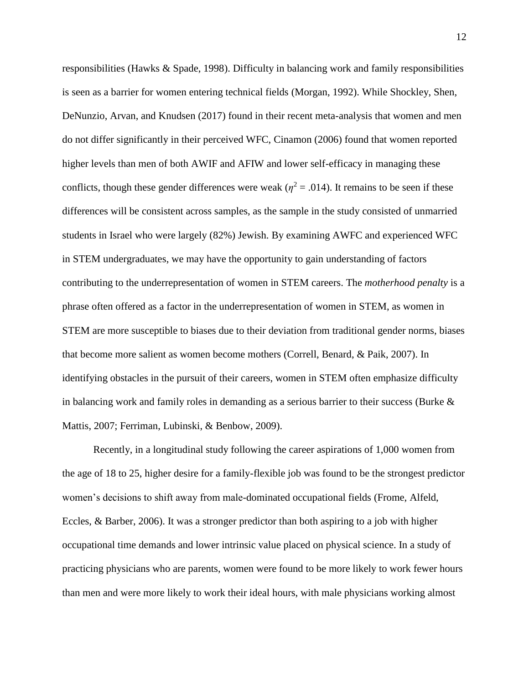responsibilities (Hawks & Spade, 1998). Difficulty in balancing work and family responsibilities is seen as a barrier for women entering technical fields (Morgan, 1992). While Shockley, Shen, DeNunzio, Arvan, and Knudsen (2017) found in their recent meta-analysis that women and men do not differ significantly in their perceived WFC, Cinamon (2006) found that women reported higher levels than men of both AWIF and AFIW and lower self-efficacy in managing these conflicts, though these gender differences were weak ( $\eta^2 = .014$ ). It remains to be seen if these differences will be consistent across samples, as the sample in the study consisted of unmarried students in Israel who were largely (82%) Jewish. By examining AWFC and experienced WFC in STEM undergraduates, we may have the opportunity to gain understanding of factors contributing to the underrepresentation of women in STEM careers. The *motherhood penalty* is a phrase often offered as a factor in the underrepresentation of women in STEM, as women in STEM are more susceptible to biases due to their deviation from traditional gender norms, biases that become more salient as women become mothers (Correll, Benard, & Paik, 2007). In identifying obstacles in the pursuit of their careers, women in STEM often emphasize difficulty in balancing work and family roles in demanding as a serious barrier to their success (Burke  $\&$ Mattis, 2007; Ferriman, Lubinski, & Benbow, 2009).

Recently, in a longitudinal study following the career aspirations of 1,000 women from the age of 18 to 25, higher desire for a family-flexible job was found to be the strongest predictor women's decisions to shift away from male-dominated occupational fields (Frome, Alfeld, Eccles, & Barber, 2006). It was a stronger predictor than both aspiring to a job with higher occupational time demands and lower intrinsic value placed on physical science. In a study of practicing physicians who are parents, women were found to be more likely to work fewer hours than men and were more likely to work their ideal hours, with male physicians working almost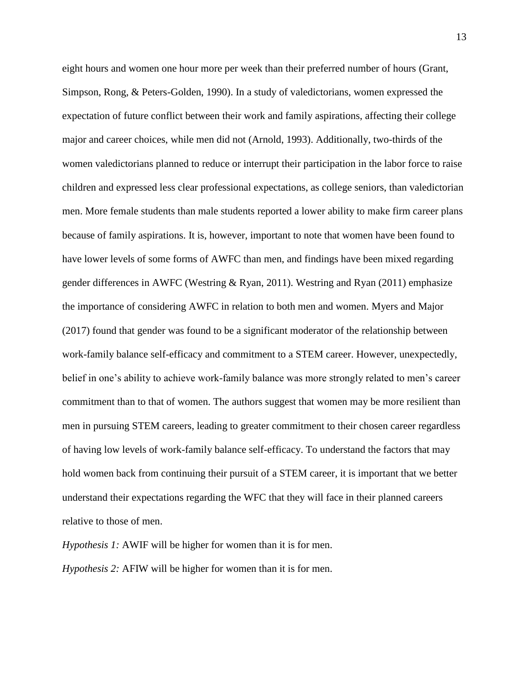eight hours and women one hour more per week than their preferred number of hours (Grant, Simpson, Rong, & Peters-Golden, 1990). In a study of valedictorians, women expressed the expectation of future conflict between their work and family aspirations, affecting their college major and career choices, while men did not (Arnold, 1993). Additionally, two-thirds of the women valedictorians planned to reduce or interrupt their participation in the labor force to raise children and expressed less clear professional expectations, as college seniors, than valedictorian men. More female students than male students reported a lower ability to make firm career plans because of family aspirations. It is, however, important to note that women have been found to have lower levels of some forms of AWFC than men, and findings have been mixed regarding gender differences in AWFC (Westring & Ryan, 2011). Westring and Ryan (2011) emphasize the importance of considering AWFC in relation to both men and women. Myers and Major (2017) found that gender was found to be a significant moderator of the relationship between work-family balance self-efficacy and commitment to a STEM career. However, unexpectedly, belief in one's ability to achieve work-family balance was more strongly related to men's career commitment than to that of women. The authors suggest that women may be more resilient than men in pursuing STEM careers, leading to greater commitment to their chosen career regardless of having low levels of work-family balance self-efficacy. To understand the factors that may hold women back from continuing their pursuit of a STEM career, it is important that we better understand their expectations regarding the WFC that they will face in their planned careers relative to those of men.

*Hypothesis 1:* AWIF will be higher for women than it is for men. *Hypothesis 2:* AFIW will be higher for women than it is for men.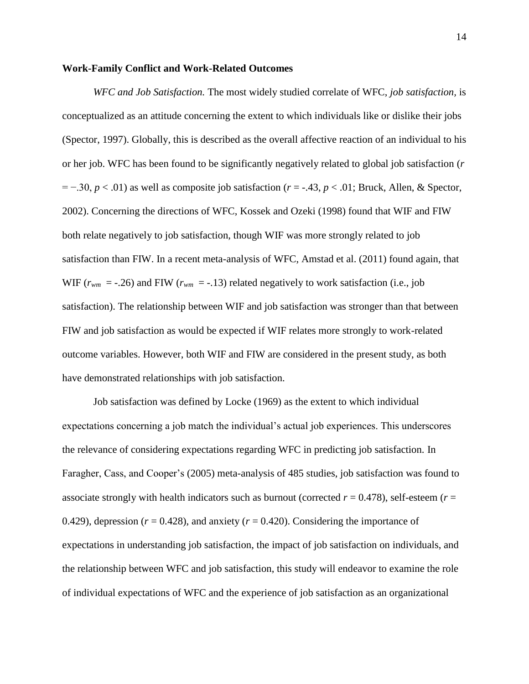#### **Work-Family Conflict and Work-Related Outcomes**

*WFC and Job Satisfaction.* The most widely studied correlate of WFC, *job satisfaction,* is conceptualized as an attitude concerning the extent to which individuals like or dislike their jobs (Spector, 1997). Globally, this is described as the overall affective reaction of an individual to his or her job. WFC has been found to be significantly negatively related to global job satisfaction (*r* = −.30, *p* < .01) as well as composite job satisfaction (*r* = -.43, *p* < .01; Bruck, Allen, & Spector, 2002). Concerning the directions of WFC, Kossek and Ozeki (1998) found that WIF and FIW both relate negatively to job satisfaction, though WIF was more strongly related to job satisfaction than FIW. In a recent meta-analysis of WFC, Amstad et al. (2011) found again, that WIF  $(r_{wm} = -.26)$  and FIW  $(r_{wm} = -.13)$  related negatively to work satisfaction (i.e., job satisfaction). The relationship between WIF and job satisfaction was stronger than that between FIW and job satisfaction as would be expected if WIF relates more strongly to work-related outcome variables. However, both WIF and FIW are considered in the present study, as both have demonstrated relationships with job satisfaction.

Job satisfaction was defined by Locke (1969) as the extent to which individual expectations concerning a job match the individual's actual job experiences. This underscores the relevance of considering expectations regarding WFC in predicting job satisfaction. In Faragher, Cass, and Cooper's (2005) meta-analysis of 485 studies, job satisfaction was found to associate strongly with health indicators such as burnout (corrected *r* = 0.478), self-esteem (*r* = 0.429), depression ( $r = 0.428$ ), and anxiety ( $r = 0.420$ ). Considering the importance of expectations in understanding job satisfaction, the impact of job satisfaction on individuals, and the relationship between WFC and job satisfaction, this study will endeavor to examine the role of individual expectations of WFC and the experience of job satisfaction as an organizational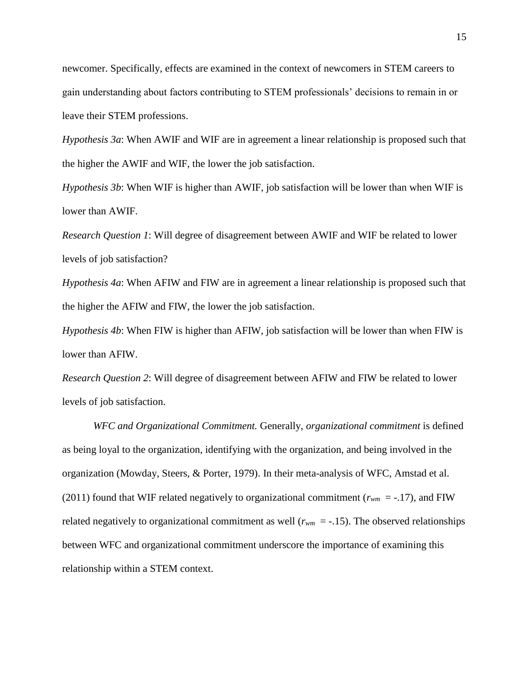newcomer. Specifically, effects are examined in the context of newcomers in STEM careers to gain understanding about factors contributing to STEM professionals' decisions to remain in or leave their STEM professions.

*Hypothesis 3a*: When AWIF and WIF are in agreement a linear relationship is proposed such that the higher the AWIF and WIF, the lower the job satisfaction.

*Hypothesis 3b*: When WIF is higher than AWIF, job satisfaction will be lower than when WIF is lower than AWIF.

*Research Question 1*: Will degree of disagreement between AWIF and WIF be related to lower levels of job satisfaction?

*Hypothesis 4a*: When AFIW and FIW are in agreement a linear relationship is proposed such that the higher the AFIW and FIW, the lower the job satisfaction.

*Hypothesis 4b*: When FIW is higher than AFIW, job satisfaction will be lower than when FIW is lower than AFIW.

*Research Question 2*: Will degree of disagreement between AFIW and FIW be related to lower levels of job satisfaction.

*WFC and Organizational Commitment.* Generally, *organizational commitment* is defined as being loyal to the organization, identifying with the organization, and being involved in the organization (Mowday, Steers, & Porter, 1979). In their meta-analysis of WFC, Amstad et al. (2011) found that WIF related negatively to organizational commitment ( $r_{wm} = -.17$ ), and FIW related negatively to organizational commitment as well ( $r_{wm} = -.15$ ). The observed relationships between WFC and organizational commitment underscore the importance of examining this relationship within a STEM context.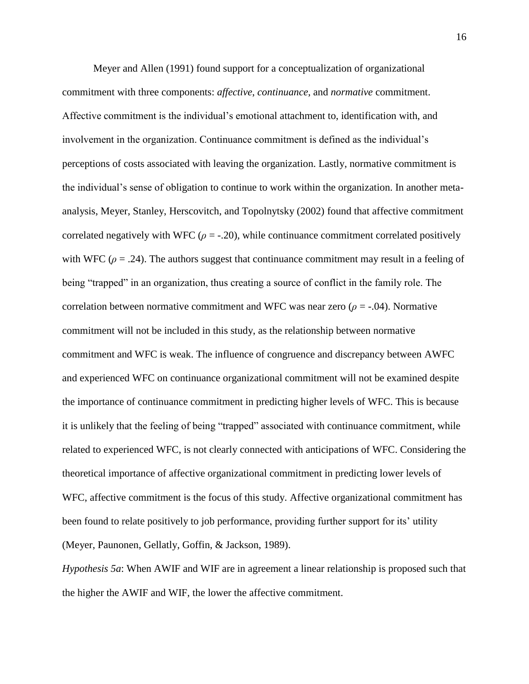Meyer and Allen (1991) found support for a conceptualization of organizational commitment with three components: *affective*, *continuance*, and *normative* commitment. Affective commitment is the individual's emotional attachment to, identification with, and involvement in the organization. Continuance commitment is defined as the individual's perceptions of costs associated with leaving the organization. Lastly, normative commitment is the individual's sense of obligation to continue to work within the organization. In another metaanalysis, Meyer, Stanley, Herscovitch, and Topolnytsky (2002) found that affective commitment correlated negatively with WFC ( $\rho = -20$ ), while continuance commitment correlated positively with WFC ( $\rho = .24$ ). The authors suggest that continuance commitment may result in a feeling of being "trapped" in an organization, thus creating a source of conflict in the family role. The correlation between normative commitment and WFC was near zero ( $\rho = -0.04$ ). Normative commitment will not be included in this study, as the relationship between normative commitment and WFC is weak. The influence of congruence and discrepancy between AWFC and experienced WFC on continuance organizational commitment will not be examined despite the importance of continuance commitment in predicting higher levels of WFC. This is because it is unlikely that the feeling of being "trapped" associated with continuance commitment, while related to experienced WFC, is not clearly connected with anticipations of WFC. Considering the theoretical importance of affective organizational commitment in predicting lower levels of WFC, affective commitment is the focus of this study. Affective organizational commitment has been found to relate positively to job performance, providing further support for its' utility (Meyer, Paunonen, Gellatly, Goffin, & Jackson, 1989).

*Hypothesis 5a*: When AWIF and WIF are in agreement a linear relationship is proposed such that the higher the AWIF and WIF, the lower the affective commitment.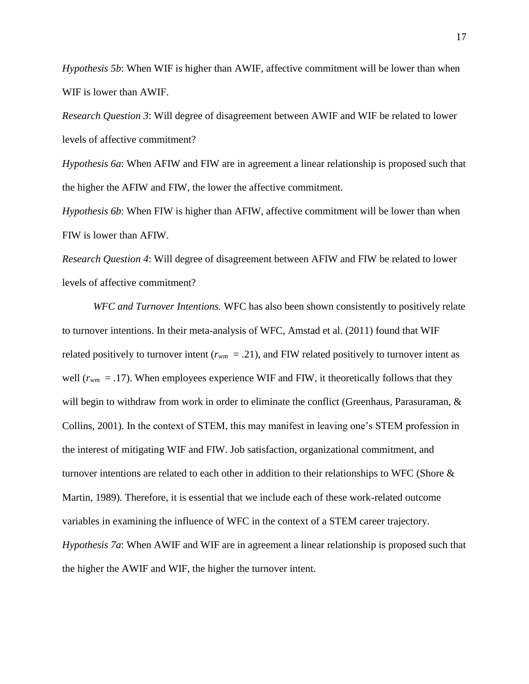*Hypothesis 5b*: When WIF is higher than AWIF, affective commitment will be lower than when WIF is lower than AWIF.

*Research Question 3*: Will degree of disagreement between AWIF and WIF be related to lower levels of affective commitment?

*Hypothesis 6a*: When AFIW and FIW are in agreement a linear relationship is proposed such that the higher the AFIW and FIW, the lower the affective commitment.

*Hypothesis 6b*: When FIW is higher than AFIW, affective commitment will be lower than when FIW is lower than AFIW.

*Research Question 4*: Will degree of disagreement between AFIW and FIW be related to lower levels of affective commitment?

*WFC and Turnover Intentions.* WFC has also been shown consistently to positively relate to turnover intentions. In their meta-analysis of WFC, Amstad et al. (2011) found that WIF related positively to turnover intent ( $r_{wm} = .21$ ), and FIW related positively to turnover intent as well  $(r_{wm} = .17)$ . When employees experience WIF and FIW, it theoretically follows that they will begin to withdraw from work in order to eliminate the conflict (Greenhaus, Parasuraman, & Collins, 2001). In the context of STEM, this may manifest in leaving one's STEM profession in the interest of mitigating WIF and FIW. Job satisfaction, organizational commitment, and turnover intentions are related to each other in addition to their relationships to WFC (Shore  $\&$ Martin, 1989). Therefore, it is essential that we include each of these work-related outcome variables in examining the influence of WFC in the context of a STEM career trajectory. *Hypothesis 7a*: When AWIF and WIF are in agreement a linear relationship is proposed such that the higher the AWIF and WIF, the higher the turnover intent.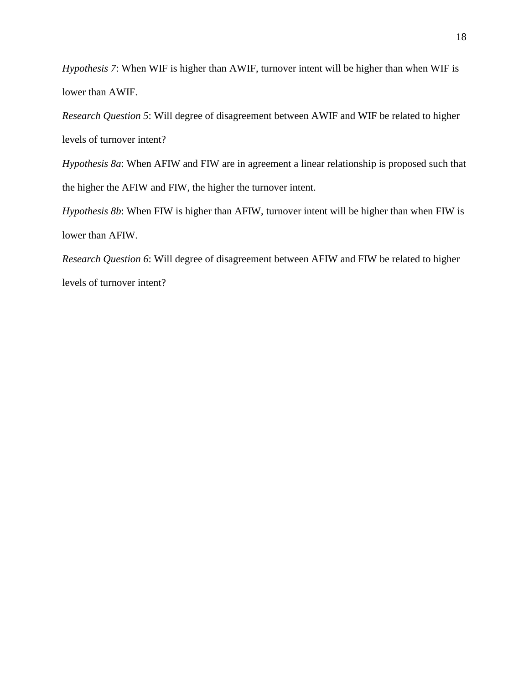*Hypothesis 7*: When WIF is higher than AWIF, turnover intent will be higher than when WIF is lower than AWIF.

*Research Question 5*: Will degree of disagreement between AWIF and WIF be related to higher levels of turnover intent?

*Hypothesis 8a*: When AFIW and FIW are in agreement a linear relationship is proposed such that the higher the AFIW and FIW, the higher the turnover intent.

*Hypothesis 8b*: When FIW is higher than AFIW, turnover intent will be higher than when FIW is lower than AFIW.

*Research Question 6*: Will degree of disagreement between AFIW and FIW be related to higher levels of turnover intent?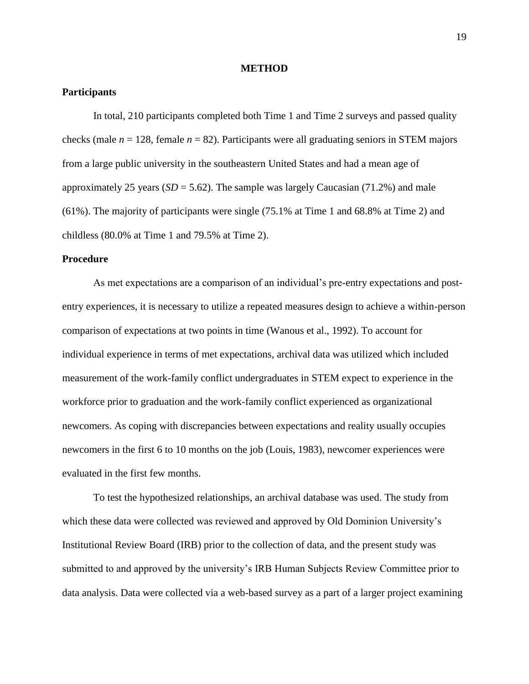#### **METHOD**

#### **Participants**

In total, 210 participants completed both Time 1 and Time 2 surveys and passed quality checks (male  $n = 128$ , female  $n = 82$ ). Participants were all graduating seniors in STEM majors from a large public university in the southeastern United States and had a mean age of approximately 25 years  $(SD = 5.62)$ . The sample was largely Caucasian  $(71.2%)$  and male (61%). The majority of participants were single (75.1% at Time 1 and 68.8% at Time 2) and childless (80.0% at Time 1 and 79.5% at Time 2).

#### **Procedure**

As met expectations are a comparison of an individual's pre-entry expectations and postentry experiences, it is necessary to utilize a repeated measures design to achieve a within-person comparison of expectations at two points in time (Wanous et al., 1992). To account for individual experience in terms of met expectations, archival data was utilized which included measurement of the work-family conflict undergraduates in STEM expect to experience in the workforce prior to graduation and the work-family conflict experienced as organizational newcomers. As coping with discrepancies between expectations and reality usually occupies newcomers in the first 6 to 10 months on the job (Louis, 1983), newcomer experiences were evaluated in the first few months.

To test the hypothesized relationships, an archival database was used. The study from which these data were collected was reviewed and approved by Old Dominion University's Institutional Review Board (IRB) prior to the collection of data, and the present study was submitted to and approved by the university's IRB Human Subjects Review Committee prior to data analysis. Data were collected via a web-based survey as a part of a larger project examining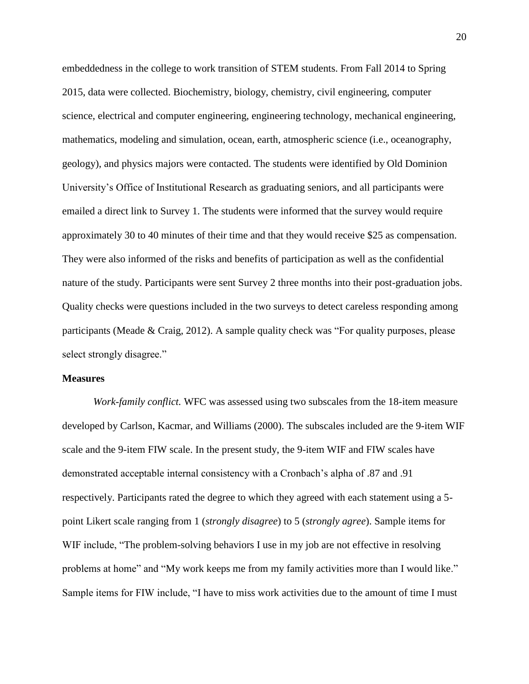embeddedness in the college to work transition of STEM students. From Fall 2014 to Spring 2015, data were collected. Biochemistry, biology, chemistry, civil engineering, computer science, electrical and computer engineering, engineering technology, mechanical engineering, mathematics, modeling and simulation, ocean, earth, atmospheric science (i.e., oceanography, geology), and physics majors were contacted. The students were identified by Old Dominion University's Office of Institutional Research as graduating seniors, and all participants were emailed a direct link to Survey 1. The students were informed that the survey would require approximately 30 to 40 minutes of their time and that they would receive \$25 as compensation. They were also informed of the risks and benefits of participation as well as the confidential nature of the study. Participants were sent Survey 2 three months into their post-graduation jobs. Quality checks were questions included in the two surveys to detect careless responding among participants (Meade & Craig, 2012). A sample quality check was "For quality purposes, please select strongly disagree."

#### **Measures**

*Work-family conflict.* WFC was assessed using two subscales from the 18-item measure developed by Carlson, Kacmar, and Williams (2000). The subscales included are the 9-item WIF scale and the 9-item FIW scale. In the present study, the 9-item WIF and FIW scales have demonstrated acceptable internal consistency with a Cronbach's alpha of .87 and .91 respectively. Participants rated the degree to which they agreed with each statement using a 5 point Likert scale ranging from 1 (*strongly disagree*) to 5 (*strongly agree*). Sample items for WIF include, "The problem-solving behaviors I use in my job are not effective in resolving problems at home" and "My work keeps me from my family activities more than I would like." Sample items for FIW include, "I have to miss work activities due to the amount of time I must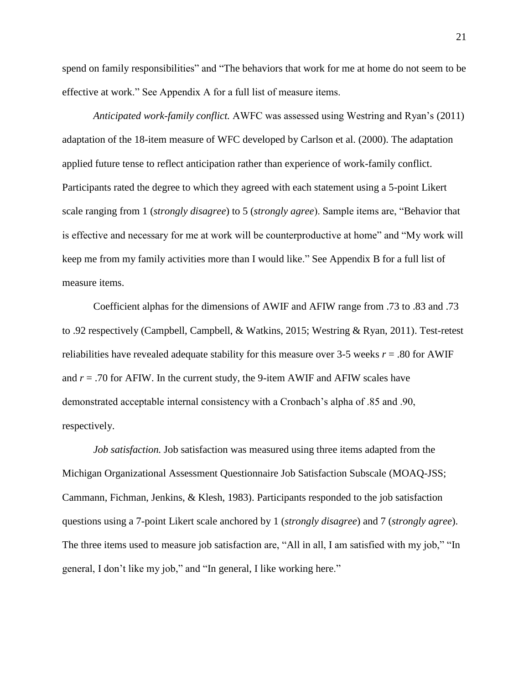spend on family responsibilities" and "The behaviors that work for me at home do not seem to be effective at work." See Appendix A for a full list of measure items.

*Anticipated work-family conflict.* AWFC was assessed using Westring and Ryan's (2011) adaptation of the 18-item measure of WFC developed by Carlson et al. (2000). The adaptation applied future tense to reflect anticipation rather than experience of work-family conflict. Participants rated the degree to which they agreed with each statement using a 5-point Likert scale ranging from 1 (*strongly disagree*) to 5 (*strongly agree*). Sample items are, "Behavior that is effective and necessary for me at work will be counterproductive at home" and "My work will keep me from my family activities more than I would like." See Appendix B for a full list of measure items.

Coefficient alphas for the dimensions of AWIF and AFIW range from .73 to .83 and .73 to .92 respectively (Campbell, Campbell, & Watkins, 2015; Westring & Ryan, 2011). Test-retest reliabilities have revealed adequate stability for this measure over 3-5 weeks  $r = .80$  for AWIF and  $r = .70$  for AFIW. In the current study, the 9-item AWIF and AFIW scales have demonstrated acceptable internal consistency with a Cronbach's alpha of .85 and .90, respectively.

*Job satisfaction.* Job satisfaction was measured using three items adapted from the Michigan Organizational Assessment Questionnaire Job Satisfaction Subscale (MOAQ-JSS; Cammann, Fichman, Jenkins, & Klesh, 1983). Participants responded to the job satisfaction questions using a 7-point Likert scale anchored by 1 (*strongly disagree*) and 7 (*strongly agree*). The three items used to measure job satisfaction are, "All in all, I am satisfied with my job," "In general, I don't like my job," and "In general, I like working here."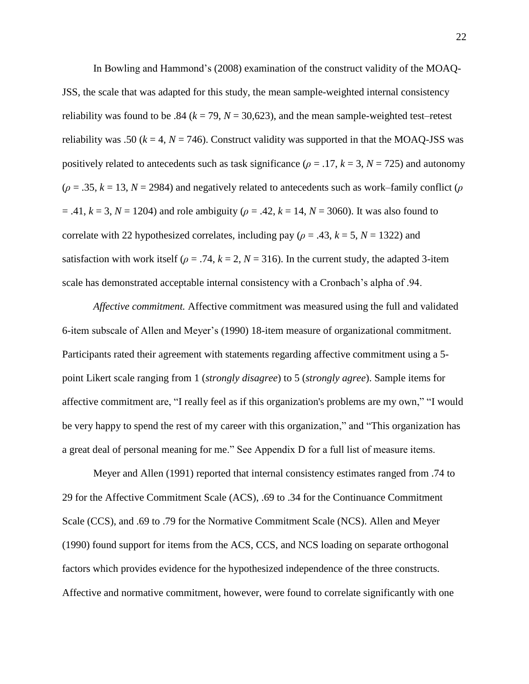In Bowling and Hammond's (2008) examination of the construct validity of the MOAQ-JSS, the scale that was adapted for this study, the mean sample-weighted internal consistency reliability was found to be .84 ( $k = 79$ ,  $N = 30,623$ ), and the mean sample-weighted test–retest reliability was .50 ( $k = 4$ ,  $N = 746$ ). Construct validity was supported in that the MOAQ-JSS was positively related to antecedents such as task significance ( $\rho = .17$ ,  $k = 3$ ,  $N = 725$ ) and autonomy  $(\rho = .35, k = 13, N = 2984)$  and negatively related to antecedents such as work–family conflict ( $\rho$  $= .41, k = 3, N = 1204$ ) and role ambiguity ( $\rho = .42, k = 14, N = 3060$ ). It was also found to correlate with 22 hypothesized correlates, including pay ( $\rho = .43$ ,  $k = 5$ ,  $N = 1322$ ) and satisfaction with work itself ( $\rho = .74$ ,  $k = 2$ ,  $N = 316$ ). In the current study, the adapted 3-item scale has demonstrated acceptable internal consistency with a Cronbach's alpha of .94.

*Affective commitment.* Affective commitment was measured using the full and validated 6-item subscale of Allen and Meyer's (1990) 18-item measure of organizational commitment. Participants rated their agreement with statements regarding affective commitment using a 5 point Likert scale ranging from 1 (*strongly disagree*) to 5 (*strongly agree*). Sample items for affective commitment are, "I really feel as if this organization's problems are my own," "I would be very happy to spend the rest of my career with this organization," and "This organization has a great deal of personal meaning for me." See Appendix D for a full list of measure items.

Meyer and Allen (1991) reported that internal consistency estimates ranged from .74 to 29 for the Affective Commitment Scale (ACS), .69 to .34 for the Continuance Commitment Scale (CCS), and .69 to .79 for the Normative Commitment Scale (NCS). Allen and Meyer (1990) found support for items from the ACS, CCS, and NCS loading on separate orthogonal factors which provides evidence for the hypothesized independence of the three constructs. Affective and normative commitment, however, were found to correlate significantly with one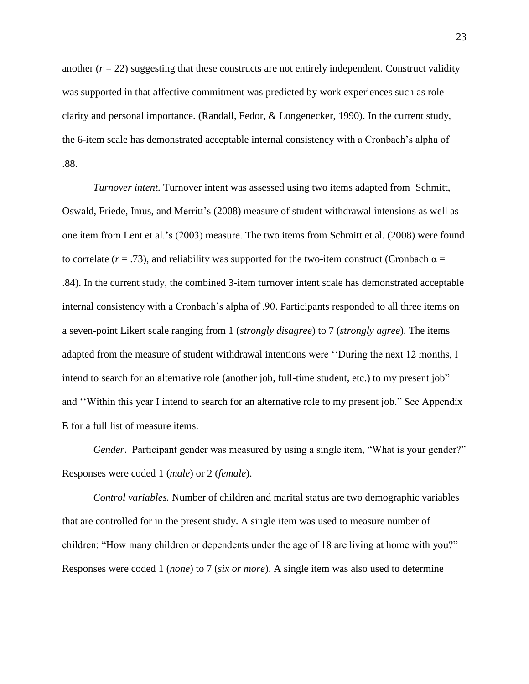another  $(r = 22)$  suggesting that these constructs are not entirely independent. Construct validity was supported in that affective commitment was predicted by work experiences such as role clarity and personal importance. (Randall, Fedor, & Longenecker, 1990). In the current study, the 6-item scale has demonstrated acceptable internal consistency with a Cronbach's alpha of .88.

*Turnover intent.* Turnover intent was assessed using two items adapted from Schmitt, Oswald, Friede, Imus, and Merritt's (2008) measure of student withdrawal intensions as well as one item from Lent et al.'s (2003) measure. The two items from Schmitt et al. (2008) were found to correlate  $(r = .73)$ , and reliability was supported for the two-item construct (Cronbach  $\alpha =$ .84). In the current study, the combined 3-item turnover intent scale has demonstrated acceptable internal consistency with a Cronbach's alpha of .90. Participants responded to all three items on a seven-point Likert scale ranging from 1 (*strongly disagree*) to 7 (*strongly agree*). The items adapted from the measure of student withdrawal intentions were ''During the next 12 months, I intend to search for an alternative role (another job, full-time student, etc.) to my present job" and ''Within this year I intend to search for an alternative role to my present job." See Appendix E for a full list of measure items.

*Gender.* Participant gender was measured by using a single item, "What is your gender?" Responses were coded 1 (*male*) or 2 (*female*).

*Control variables.* Number of children and marital status are two demographic variables that are controlled for in the present study. A single item was used to measure number of children: "How many children or dependents under the age of 18 are living at home with you?" Responses were coded 1 (*none*) to 7 (*six or more*). A single item was also used to determine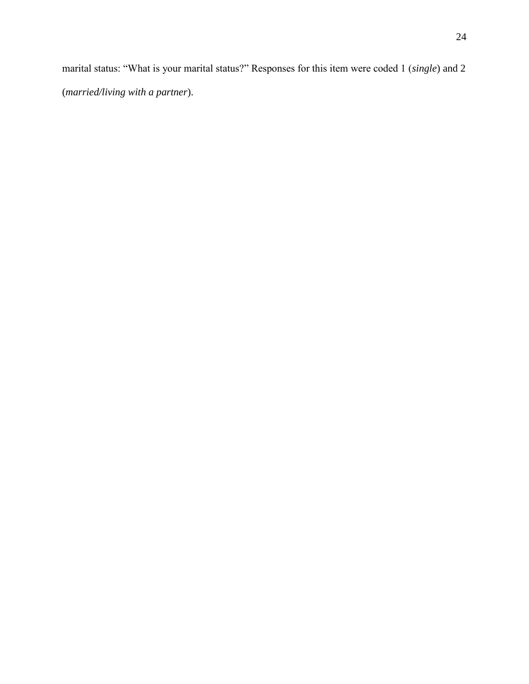marital status: "What is your marital status?" Responses for this item were coded 1 (*single*) and 2 (*married/living with a partner*).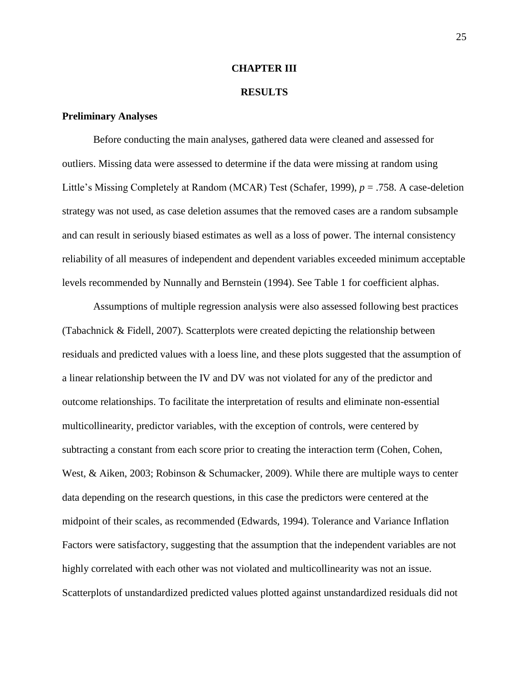#### **CHAPTER III**

#### **RESULTS**

#### **Preliminary Analyses**

Before conducting the main analyses, gathered data were cleaned and assessed for outliers. Missing data were assessed to determine if the data were missing at random using Little's Missing Completely at Random (MCAR) Test (Schafer, 1999), *p* = .758. A case-deletion strategy was not used, as case deletion assumes that the removed cases are a random subsample and can result in seriously biased estimates as well as a loss of power. The internal consistency reliability of all measures of independent and dependent variables exceeded minimum acceptable levels recommended by Nunnally and Bernstein (1994). See Table 1 for coefficient alphas.

Assumptions of multiple regression analysis were also assessed following best practices (Tabachnick & Fidell, 2007). Scatterplots were created depicting the relationship between residuals and predicted values with a loess line, and these plots suggested that the assumption of a linear relationship between the IV and DV was not violated for any of the predictor and outcome relationships. To facilitate the interpretation of results and eliminate non-essential multicollinearity, predictor variables, with the exception of controls, were centered by subtracting a constant from each score prior to creating the interaction term (Cohen, Cohen, West, & Aiken, 2003; Robinson & Schumacker, 2009). While there are multiple ways to center data depending on the research questions, in this case the predictors were centered at the midpoint of their scales, as recommended (Edwards, 1994). Tolerance and Variance Inflation Factors were satisfactory, suggesting that the assumption that the independent variables are not highly correlated with each other was not violated and multicollinearity was not an issue. Scatterplots of unstandardized predicted values plotted against unstandardized residuals did not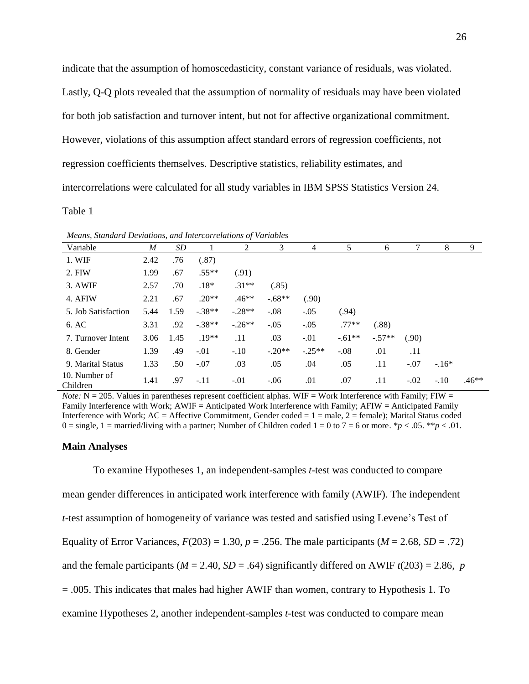indicate that the assumption of homoscedasticity, constant variance of residuals, was violated.

Lastly, Q-Q plots revealed that the assumption of normality of residuals may have been violated

for both job satisfaction and turnover intent, but not for affective organizational commitment.

However, violations of this assumption affect standard errors of regression coefficients, not

regression coefficients themselves. Descriptive statistics, reliability estimates, and

intercorrelations were calculated for all study variables in IBM SPSS Statistics Version 24.

Table 1

| Means, Standard Deviations, and Intercorrelations of Variables |      |      |          |           |          |          |          |          |        |         |         |
|----------------------------------------------------------------|------|------|----------|-----------|----------|----------|----------|----------|--------|---------|---------|
| Variable                                                       | M    | SD   |          | 2         | 3        | 4        | 5        | 6        | 7      | 8       | 9       |
| 1. WIF                                                         | 2.42 | .76  | (.87)    |           |          |          |          |          |        |         |         |
| 2. FIW                                                         | 1.99 | .67  | $.55**$  | (.91)     |          |          |          |          |        |         |         |
| 3. AWIF                                                        | 2.57 | .70  | $.18*$   | $.31**$   | (.85)    |          |          |          |        |         |         |
| 4. AFIW                                                        | 2.21 | .67  | $.20**$  | $.46**$   | $-.68**$ | (.90)    |          |          |        |         |         |
| 5. Job Satisfaction                                            | 5.44 | 1.59 | $-.38**$ | $-.28**$  | $-.08$   | $-.05$   | (.94)    |          |        |         |         |
| 6. AC                                                          | 3.31 | .92  | $-.38**$ | $-0.26**$ | $-.05$   | $-.05$   | $.77**$  | (.88)    |        |         |         |
| 7. Turnover Intent                                             | 3.06 | 1.45 | $.19**$  | .11       | .03      | $-.01$   | $-.61**$ | $-.57**$ | (.90)  |         |         |
| 8. Gender                                                      | 1.39 | .49  | $-.01$   | $-.10$    | $-.20**$ | $-.25**$ | $-.08$   | .01      | .11    |         |         |
| 9. Marital Status                                              | 1.33 | .50  | $-.07$   | .03       | .05      | .04      | .05      | .11      | $-.07$ | $-.16*$ |         |
| 10. Number of<br>Children                                      | 1.41 | .97  | $-.11$   | $-.01$    | $-.06$   | .01      | .07      | .11      | $-.02$ | $-.10$  | $.46**$ |

*Note:*  $N = 205$ . Values in parentheses represent coefficient alphas. WIF = Work Interference with Family; FIW = Family Interference with Work: AWIF = Anticipated Work Interference with Family: AFIW = Anticipated Family Interference with Work; AC = Affective Commitment, Gender coded = 1 = male, 2 = female); Marital Status coded 0 = single, 1 = married/living with a partner; Number of Children coded  $1 = 0$  to  $7 = 6$  or more. \* $p < .05$ . \*\* $p < .01$ .

#### **Main Analyses**

To examine Hypotheses 1, an independent-samples *t*-test was conducted to compare mean gender differences in anticipated work interference with family (AWIF). The independent *t*-test assumption of homogeneity of variance was tested and satisfied using Levene's Test of Equality of Error Variances,  $F(203) = 1.30$ ,  $p = .256$ . The male participants ( $M = 2.68$ ,  $SD = .72$ ) and the female participants ( $M = 2.40$ ,  $SD = .64$ ) significantly differed on AWIF  $t(203) = 2.86$ , *p* = .005. This indicates that males had higher AWIF than women, contrary to Hypothesis 1. To examine Hypotheses 2, another independent-samples *t*-test was conducted to compare mean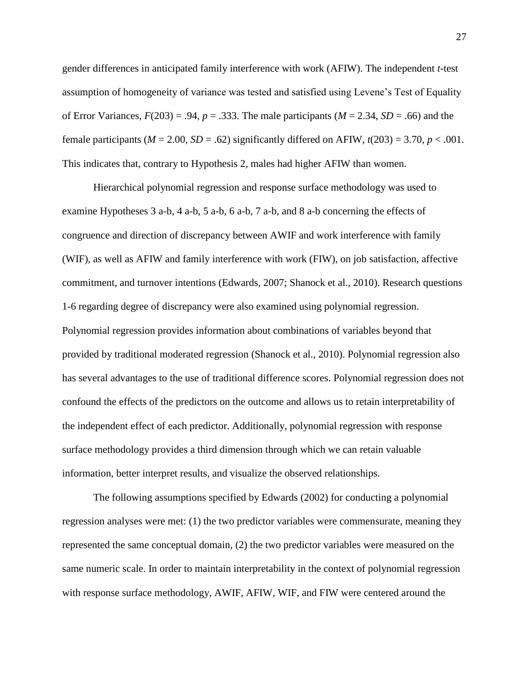gender differences in anticipated family interference with work (AFIW). The independent *t*-test assumption of homogeneity of variance was tested and satisfied using Levene's Test of Equality of Error Variances,  $F(203) = .94$ ,  $p = .333$ . The male participants ( $M = 2.34$ ,  $SD = .66$ ) and the female participants ( $M = 2.00$ ,  $SD = .62$ ) significantly differed on AFIW,  $t(203) = 3.70$ ,  $p < .001$ . This indicates that, contrary to Hypothesis 2, males had higher AFIW than women.

Hierarchical polynomial regression and response surface methodology was used to examine Hypotheses 3 a-b, 4 a-b, 5 a-b, 6 a-b, 7 a-b, and 8 a-b concerning the effects of congruence and direction of discrepancy between AWIF and work interference with family (WIF), as well as AFIW and family interference with work (FIW), on job satisfaction, affective commitment, and turnover intentions (Edwards, 2007; Shanock et al., 2010). Research questions 1-6 regarding degree of discrepancy were also examined using polynomial regression. Polynomial regression provides information about combinations of variables beyond that provided by traditional moderated regression (Shanock et al., 2010). Polynomial regression also has several advantages to the use of traditional difference scores. Polynomial regression does not confound the effects of the predictors on the outcome and allows us to retain interpretability of the independent effect of each predictor. Additionally, polynomial regression with response surface methodology provides a third dimension through which we can retain valuable information, better interpret results, and visualize the observed relationships.

The following assumptions specified by Edwards (2002) for conducting a polynomial regression analyses were met: (1) the two predictor variables were commensurate, meaning they represented the same conceptual domain, (2) the two predictor variables were measured on the same numeric scale. In order to maintain interpretability in the context of polynomial regression with response surface methodology, AWIF, AFIW, WIF, and FIW were centered around the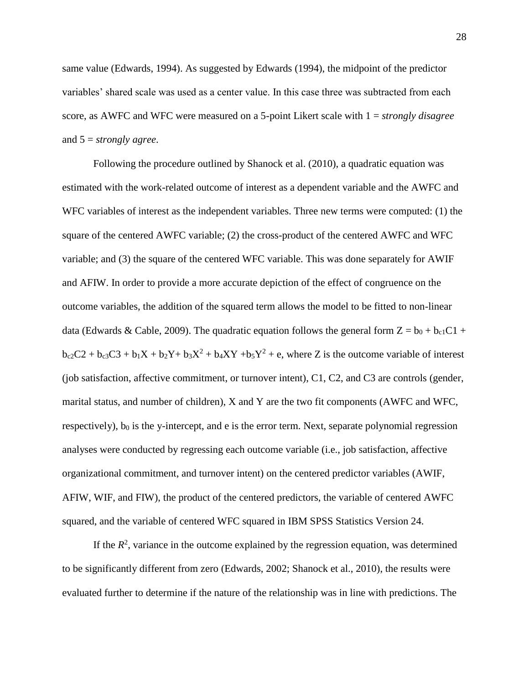same value (Edwards, 1994). As suggested by Edwards (1994), the midpoint of the predictor variables' shared scale was used as a center value. In this case three was subtracted from each score, as AWFC and WFC were measured on a 5-point Likert scale with 1 = *strongly disagree*  and 5 = *strongly agree*.

Following the procedure outlined by Shanock et al. (2010), a quadratic equation was estimated with the work-related outcome of interest as a dependent variable and the AWFC and WFC variables of interest as the independent variables. Three new terms were computed: (1) the square of the centered AWFC variable; (2) the cross-product of the centered AWFC and WFC variable; and (3) the square of the centered WFC variable. This was done separately for AWIF and AFIW. In order to provide a more accurate depiction of the effect of congruence on the outcome variables, the addition of the squared term allows the model to be fitted to non-linear data (Edwards & Cable, 2009). The quadratic equation follows the general form  $Z = b_0 + b_{c1}C1 +$  $b_{c2}C2 + b_{c3}C3 + b_1X + b_2Y + b_3X^2 + b_4XY + b_5Y^2 + e$ , where Z is the outcome variable of interest (job satisfaction, affective commitment, or turnover intent), C1, C2, and C3 are controls (gender, marital status, and number of children), X and Y are the two fit components (AWFC and WFC, respectively),  $b_0$  is the y-intercept, and e is the error term. Next, separate polynomial regression analyses were conducted by regressing each outcome variable (i.e., job satisfaction, affective organizational commitment, and turnover intent) on the centered predictor variables (AWIF, AFIW, WIF, and FIW), the product of the centered predictors, the variable of centered AWFC squared, and the variable of centered WFC squared in IBM SPSS Statistics Version 24.

If the  $R<sup>2</sup>$ , variance in the outcome explained by the regression equation, was determined to be significantly different from zero (Edwards, 2002; Shanock et al., 2010), the results were evaluated further to determine if the nature of the relationship was in line with predictions. The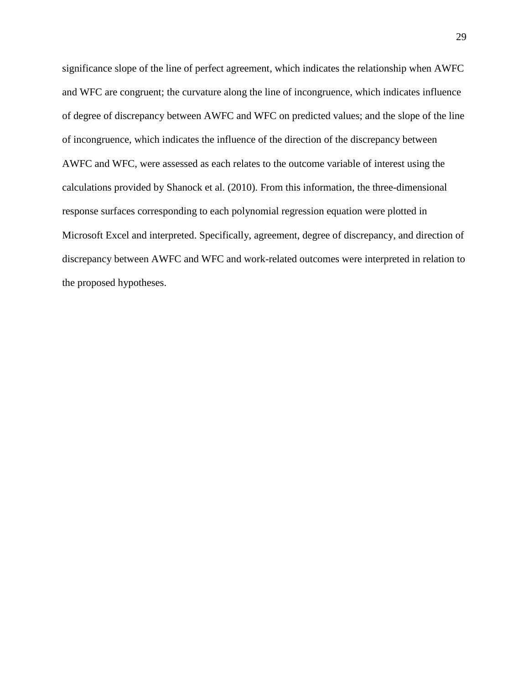significance slope of the line of perfect agreement, which indicates the relationship when AWFC and WFC are congruent; the curvature along the line of incongruence, which indicates influence of degree of discrepancy between AWFC and WFC on predicted values; and the slope of the line of incongruence, which indicates the influence of the direction of the discrepancy between AWFC and WFC, were assessed as each relates to the outcome variable of interest using the calculations provided by Shanock et al. (2010). From this information, the three-dimensional response surfaces corresponding to each polynomial regression equation were plotted in Microsoft Excel and interpreted. Specifically, agreement, degree of discrepancy, and direction of discrepancy between AWFC and WFC and work-related outcomes were interpreted in relation to the proposed hypotheses.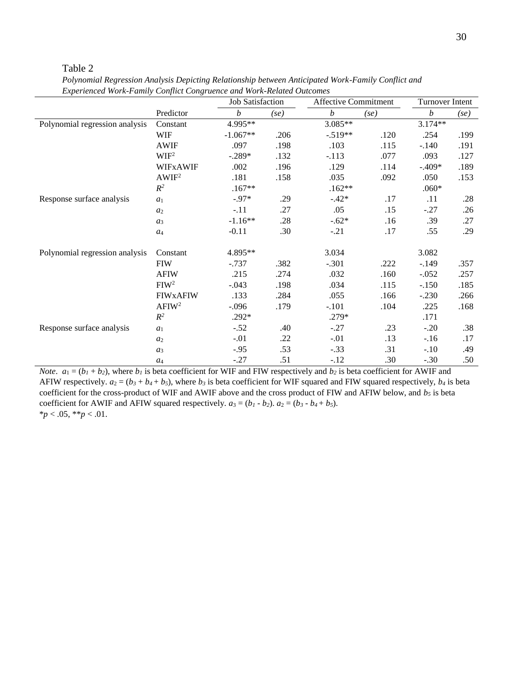Table 2

|                                | Experienced work-runnity Conflict Congruence und work-Kenned Outcomes<br>Job Satisfaction |            |      | <b>Affective Commitment</b> | Turnover Intent |                  |      |
|--------------------------------|-------------------------------------------------------------------------------------------|------------|------|-----------------------------|-----------------|------------------|------|
|                                | Predictor                                                                                 | b          | (se) | $\boldsymbol{b}$            | (se)            | $\boldsymbol{b}$ | (se) |
| Polynomial regression analysis | Constant                                                                                  | 4.995**    |      | 3.085**                     |                 | $3.174**$        |      |
|                                | <b>WIF</b>                                                                                | $-1.067**$ | .206 | $-.519**$                   | .120            | .254             | .199 |
|                                | <b>AWIF</b>                                                                               | .097       | .198 | .103                        | .115            | $-.140$          | .191 |
|                                | WIF <sup>2</sup>                                                                          | $-.289*$   | .132 | $-.113$                     | .077            | .093             | .127 |
|                                | <b>WIFXAWIF</b>                                                                           | .002       | .196 | .129                        | .114            | $-.409*$         | .189 |
|                                | AWIF <sup>2</sup>                                                                         | .181       | .158 | .035                        | .092            | .050             | .153 |
|                                | $R^2$                                                                                     | $.167**$   |      | $.162**$                    |                 | $.060*$          |      |
| Response surface analysis      | a <sub>1</sub>                                                                            | $-.97*$    | .29  | $-.42*$                     | .17             | .11              | .28  |
|                                | a <sub>2</sub>                                                                            | $-.11$     | .27  | .05                         | .15             | $-.27$           | .26  |
|                                | $a_3$                                                                                     | $-1.16**$  | .28  | $-.62*$                     | .16             | .39              | .27  |
|                                | $a_4$                                                                                     | $-0.11$    | .30  | $-.21$                      | .17             | .55              | .29  |
| Polynomial regression analysis | Constant                                                                                  | 4.895**    |      | 3.034                       |                 | 3.082            |      |
|                                | <b>FIW</b>                                                                                | $-0.737$   | .382 | $-.301$                     | .222            | $-.149$          | .357 |
|                                | <b>AFIW</b>                                                                               | .215       | .274 | .032                        | .160            | $-.052$          | .257 |
|                                | FIW <sup>2</sup>                                                                          | $-.043$    | .198 | .034                        | .115            | $-.150$          | .185 |
|                                | <b>FIWXAFIW</b>                                                                           | .133       | .284 | .055                        | .166            | $-.230$          | .266 |
|                                | AFIW <sup>2</sup>                                                                         | $-.096$    | .179 | $-.101$                     | .104            | .225             | .168 |
|                                | $R^2$                                                                                     | $.292*$    |      | .279*                       |                 | .171             |      |
| Response surface analysis      | a <sub>1</sub>                                                                            | $-.52$     | .40  | $-.27$                      | .23             | $-.20$           | .38  |
|                                | a <sub>2</sub>                                                                            | $-.01$     | .22  | $-.01$                      | .13             | $-.16$           | .17  |
|                                | $a_3$                                                                                     | $-.95$     | .53  | $-.33$                      | .31             | $-.10$           | .49  |
|                                | $a_4$                                                                                     | $-.27$     | .51  | $-.12$                      | .30             | $-.30$           | .50  |

*Polynomial Regression Analysis Depicting Relationship between Anticipated Work-Family Conflict and Experienced Work-Family Conflict Congruence and Work-Related Outcomes*

*Note*.  $a_1 = (b_1 + b_2)$ , where  $b_1$  is beta coefficient for WIF and FIW respectively and  $b_2$  is beta coefficient for AWIF and AFIW respectively.  $a_2 = (b_3 + b_4 + b_5)$ , where  $b_3$  is beta coefficient for WIF squared and FIW squared respectively,  $b_4$  is beta coefficient for the cross-product of WIF and AWIF above and the cross product of FIW and AFIW below, and *b<sup>5</sup>* is beta coefficient for AWIF and AFIW squared respectively.  $a_3 = (b_1 - b_2)$ .  $a_2 = (b_3 - b_4 + b_5)$ .  $**p* < .05, ***p* < .01.$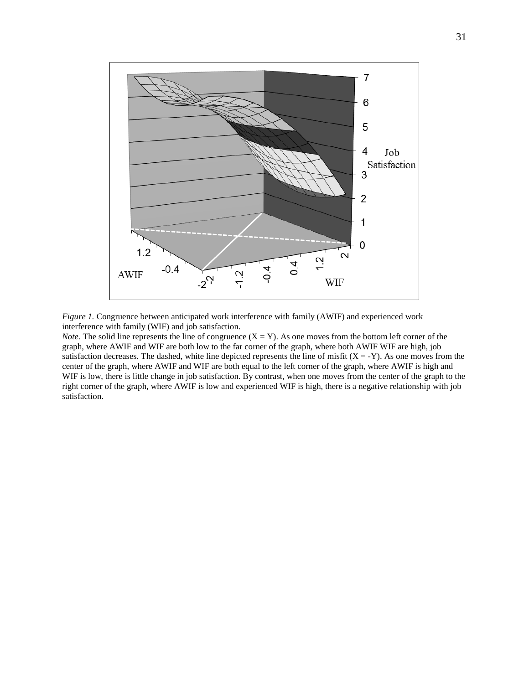

*Figure 1.* Congruence between anticipated work interference with family (AWIF) and experienced work interference with family (WIF) and job satisfaction.

*Note.* The solid line represents the line of congruence  $(X = Y)$ . As one moves from the bottom left corner of the graph, where AWIF and WIF are both low to the far corner of the graph, where both AWIF WIF are high, job satisfaction decreases. The dashed, white line depicted represents the line of misfit  $(X = -Y)$ . As one moves from the center of the graph, where AWIF and WIF are both equal to the left corner of the graph, where AWIF is high and WIF is low, there is little change in job satisfaction. By contrast, when one moves from the center of the graph to the right corner of the graph, where AWIF is low and experienced WIF is high, there is a negative relationship with job satisfaction.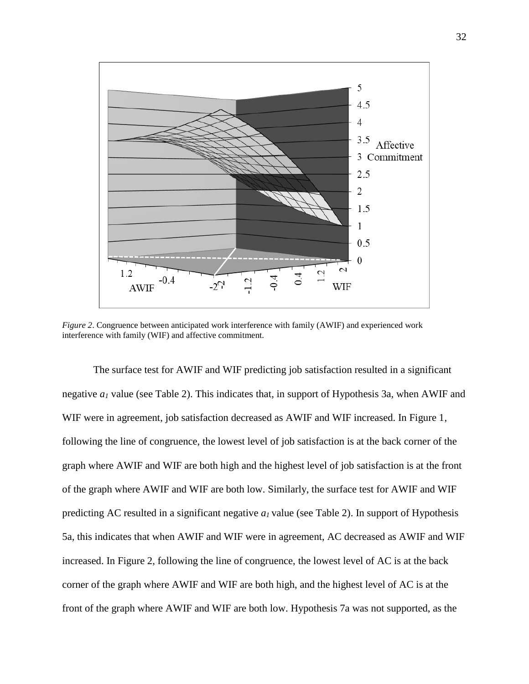

*Figure 2*. Congruence between anticipated work interference with family (AWIF) and experienced work interference with family (WIF) and affective commitment.

The surface test for AWIF and WIF predicting job satisfaction resulted in a significant negative *a<sup>1</sup>* value (see Table 2). This indicates that, in support of Hypothesis 3a, when AWIF and WIF were in agreement, job satisfaction decreased as AWIF and WIF increased. In Figure 1, following the line of congruence, the lowest level of job satisfaction is at the back corner of the graph where AWIF and WIF are both high and the highest level of job satisfaction is at the front of the graph where AWIF and WIF are both low. Similarly, the surface test for AWIF and WIF predicting AC resulted in a significant negative *a1* value (see Table 2). In support of Hypothesis 5a, this indicates that when AWIF and WIF were in agreement, AC decreased as AWIF and WIF increased. In Figure 2, following the line of congruence, the lowest level of AC is at the back corner of the graph where AWIF and WIF are both high, and the highest level of AC is at the front of the graph where AWIF and WIF are both low. Hypothesis 7a was not supported, as the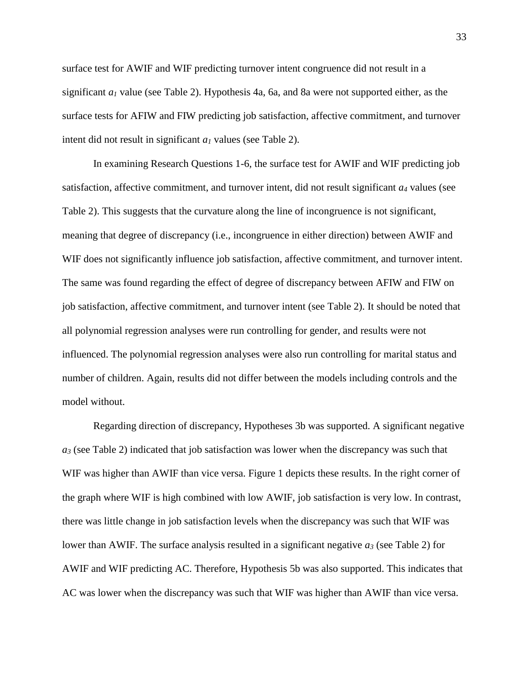surface test for AWIF and WIF predicting turnover intent congruence did not result in a significant *a<sup>1</sup>* value (see Table 2). Hypothesis 4a, 6a, and 8a were not supported either, as the surface tests for AFIW and FIW predicting job satisfaction, affective commitment, and turnover intent did not result in significant *a<sup>1</sup>* values (see Table 2).

In examining Research Questions 1-6, the surface test for AWIF and WIF predicting job satisfaction, affective commitment, and turnover intent, did not result significant *a<sup>4</sup>* values (see Table 2). This suggests that the curvature along the line of incongruence is not significant, meaning that degree of discrepancy (i.e., incongruence in either direction) between AWIF and WIF does not significantly influence job satisfaction, affective commitment, and turnover intent. The same was found regarding the effect of degree of discrepancy between AFIW and FIW on job satisfaction, affective commitment, and turnover intent (see Table 2). It should be noted that all polynomial regression analyses were run controlling for gender, and results were not influenced. The polynomial regression analyses were also run controlling for marital status and number of children. Again, results did not differ between the models including controls and the model without.

Regarding direction of discrepancy, Hypotheses 3b was supported. A significant negative *a<sup>3</sup>* (see Table 2) indicated that job satisfaction was lower when the discrepancy was such that WIF was higher than AWIF than vice versa. Figure 1 depicts these results. In the right corner of the graph where WIF is high combined with low AWIF, job satisfaction is very low. In contrast, there was little change in job satisfaction levels when the discrepancy was such that WIF was lower than AWIF. The surface analysis resulted in a significant negative *a<sup>3</sup>* (see Table 2) for AWIF and WIF predicting AC. Therefore, Hypothesis 5b was also supported. This indicates that AC was lower when the discrepancy was such that WIF was higher than AWIF than vice versa.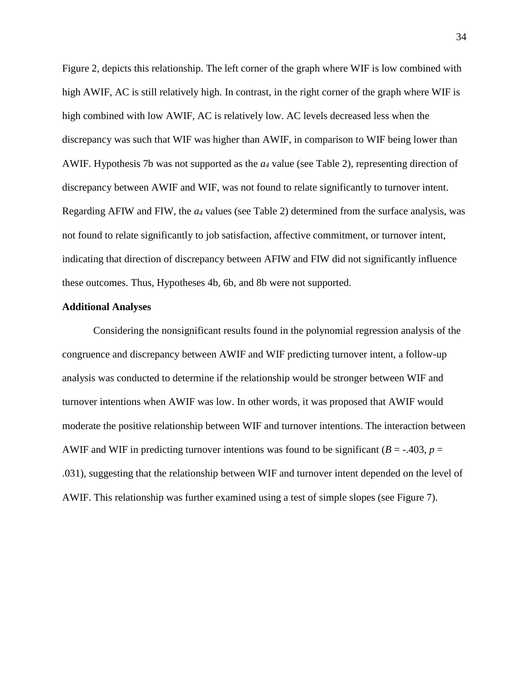Figure 2, depicts this relationship. The left corner of the graph where WIF is low combined with high AWIF, AC is still relatively high. In contrast, in the right corner of the graph where WIF is high combined with low AWIF, AC is relatively low. AC levels decreased less when the discrepancy was such that WIF was higher than AWIF, in comparison to WIF being lower than AWIF. Hypothesis 7b was not supported as the *a<sup>4</sup>* value (see Table 2), representing direction of discrepancy between AWIF and WIF, was not found to relate significantly to turnover intent. Regarding AFIW and FIW, the *a<sup>4</sup>* values (see Table 2) determined from the surface analysis, was not found to relate significantly to job satisfaction, affective commitment, or turnover intent, indicating that direction of discrepancy between AFIW and FIW did not significantly influence these outcomes. Thus, Hypotheses 4b, 6b, and 8b were not supported.

#### **Additional Analyses**

Considering the nonsignificant results found in the polynomial regression analysis of the congruence and discrepancy between AWIF and WIF predicting turnover intent, a follow-up analysis was conducted to determine if the relationship would be stronger between WIF and turnover intentions when AWIF was low. In other words, it was proposed that AWIF would moderate the positive relationship between WIF and turnover intentions. The interaction between AWIF and WIF in predicting turnover intentions was found to be significant  $(B = -0.403, p = 0.403)$ .031), suggesting that the relationship between WIF and turnover intent depended on the level of AWIF. This relationship was further examined using a test of simple slopes (see Figure 7).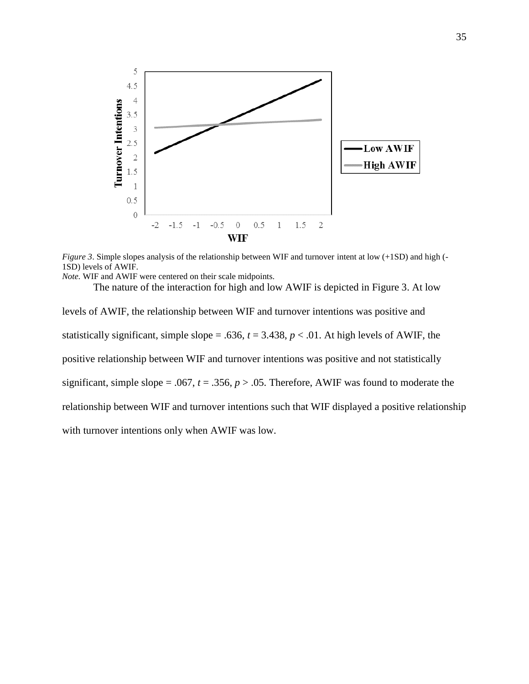

*Figure 3*. Simple slopes analysis of the relationship between WIF and turnover intent at low (+1SD) and high (- 1SD) levels of AWIF.

*Note.* WIF and AWIF were centered on their scale midpoints.

The nature of the interaction for high and low AWIF is depicted in Figure 3. At low levels of AWIF, the relationship between WIF and turnover intentions was positive and statistically significant, simple slope = .636,  $t = 3.438$ ,  $p < .01$ . At high levels of AWIF, the positive relationship between WIF and turnover intentions was positive and not statistically significant, simple slope = .067,  $t = .356$ ,  $p > .05$ . Therefore, AWIF was found to moderate the relationship between WIF and turnover intentions such that WIF displayed a positive relationship with turnover intentions only when AWIF was low.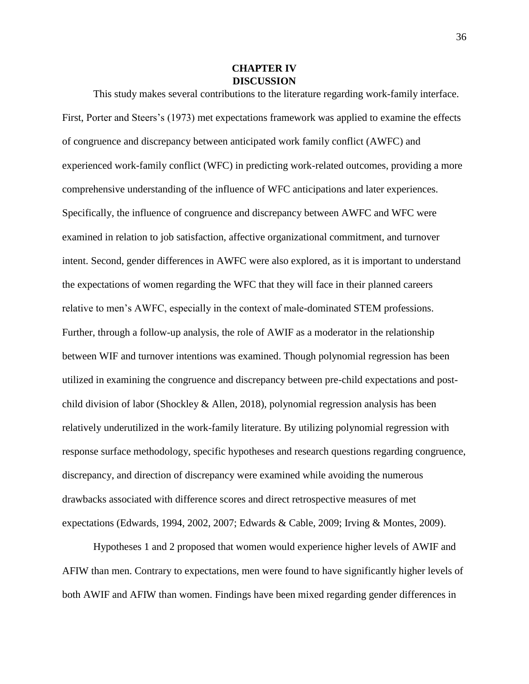#### **CHAPTER IV DISCUSSION**

This study makes several contributions to the literature regarding work-family interface. First, Porter and Steers's (1973) met expectations framework was applied to examine the effects of congruence and discrepancy between anticipated work family conflict (AWFC) and experienced work-family conflict (WFC) in predicting work-related outcomes, providing a more comprehensive understanding of the influence of WFC anticipations and later experiences. Specifically, the influence of congruence and discrepancy between AWFC and WFC were examined in relation to job satisfaction, affective organizational commitment, and turnover intent. Second, gender differences in AWFC were also explored, as it is important to understand the expectations of women regarding the WFC that they will face in their planned careers relative to men's AWFC, especially in the context of male-dominated STEM professions. Further, through a follow-up analysis, the role of AWIF as a moderator in the relationship between WIF and turnover intentions was examined. Though polynomial regression has been utilized in examining the congruence and discrepancy between pre-child expectations and postchild division of labor (Shockley & Allen, 2018), polynomial regression analysis has been relatively underutilized in the work-family literature. By utilizing polynomial regression with response surface methodology, specific hypotheses and research questions regarding congruence, discrepancy, and direction of discrepancy were examined while avoiding the numerous drawbacks associated with difference scores and direct retrospective measures of met expectations (Edwards, 1994, 2002, 2007; Edwards & Cable, 2009; Irving & Montes, 2009).

Hypotheses 1 and 2 proposed that women would experience higher levels of AWIF and AFIW than men. Contrary to expectations, men were found to have significantly higher levels of both AWIF and AFIW than women. Findings have been mixed regarding gender differences in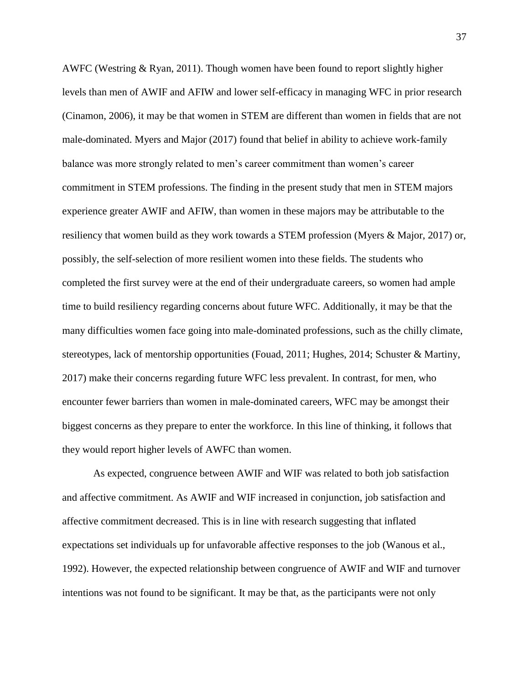AWFC (Westring & Ryan, 2011). Though women have been found to report slightly higher levels than men of AWIF and AFIW and lower self-efficacy in managing WFC in prior research (Cinamon, 2006), it may be that women in STEM are different than women in fields that are not male-dominated. Myers and Major (2017) found that belief in ability to achieve work-family balance was more strongly related to men's career commitment than women's career commitment in STEM professions. The finding in the present study that men in STEM majors experience greater AWIF and AFIW, than women in these majors may be attributable to the resiliency that women build as they work towards a STEM profession (Myers & Major, 2017) or, possibly, the self-selection of more resilient women into these fields. The students who completed the first survey were at the end of their undergraduate careers, so women had ample time to build resiliency regarding concerns about future WFC. Additionally, it may be that the many difficulties women face going into male-dominated professions, such as the chilly climate, stereotypes, lack of mentorship opportunities (Fouad, 2011; Hughes, 2014; Schuster & Martiny, 2017) make their concerns regarding future WFC less prevalent. In contrast, for men, who encounter fewer barriers than women in male-dominated careers, WFC may be amongst their biggest concerns as they prepare to enter the workforce. In this line of thinking, it follows that they would report higher levels of AWFC than women.

As expected, congruence between AWIF and WIF was related to both job satisfaction and affective commitment. As AWIF and WIF increased in conjunction, job satisfaction and affective commitment decreased. This is in line with research suggesting that inflated expectations set individuals up for unfavorable affective responses to the job (Wanous et al., 1992). However, the expected relationship between congruence of AWIF and WIF and turnover intentions was not found to be significant. It may be that, as the participants were not only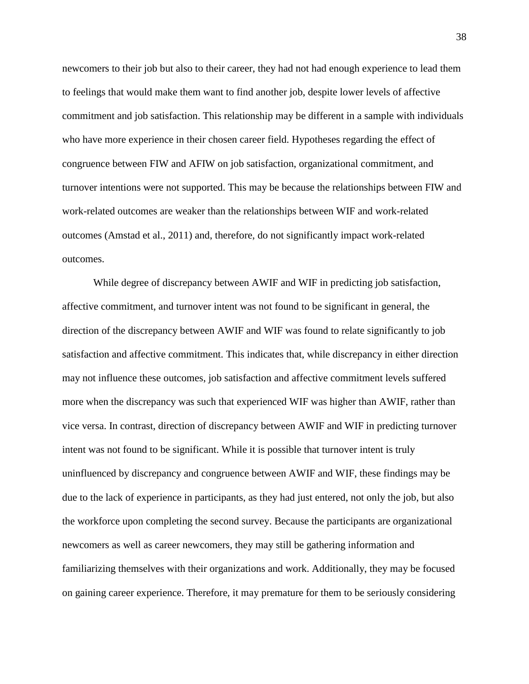newcomers to their job but also to their career, they had not had enough experience to lead them to feelings that would make them want to find another job, despite lower levels of affective commitment and job satisfaction. This relationship may be different in a sample with individuals who have more experience in their chosen career field. Hypotheses regarding the effect of congruence between FIW and AFIW on job satisfaction, organizational commitment, and turnover intentions were not supported. This may be because the relationships between FIW and work-related outcomes are weaker than the relationships between WIF and work-related outcomes (Amstad et al., 2011) and, therefore, do not significantly impact work-related outcomes.

While degree of discrepancy between AWIF and WIF in predicting job satisfaction, affective commitment, and turnover intent was not found to be significant in general, the direction of the discrepancy between AWIF and WIF was found to relate significantly to job satisfaction and affective commitment. This indicates that, while discrepancy in either direction may not influence these outcomes, job satisfaction and affective commitment levels suffered more when the discrepancy was such that experienced WIF was higher than AWIF, rather than vice versa. In contrast, direction of discrepancy between AWIF and WIF in predicting turnover intent was not found to be significant. While it is possible that turnover intent is truly uninfluenced by discrepancy and congruence between AWIF and WIF, these findings may be due to the lack of experience in participants, as they had just entered, not only the job, but also the workforce upon completing the second survey. Because the participants are organizational newcomers as well as career newcomers, they may still be gathering information and familiarizing themselves with their organizations and work. Additionally, they may be focused on gaining career experience. Therefore, it may premature for them to be seriously considering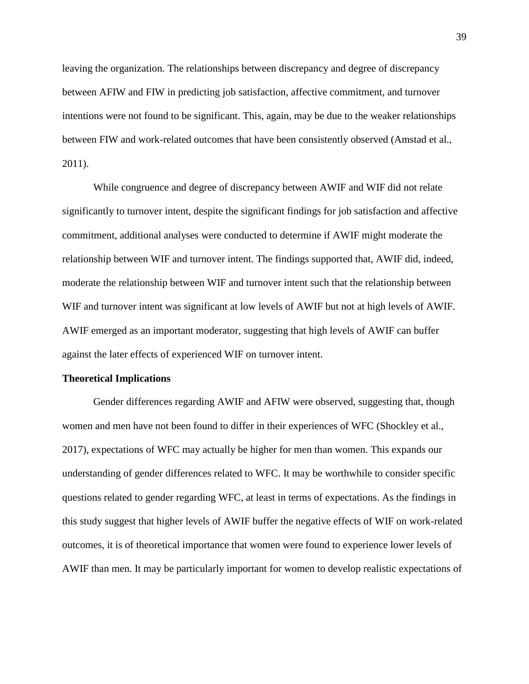leaving the organization. The relationships between discrepancy and degree of discrepancy between AFIW and FIW in predicting job satisfaction, affective commitment, and turnover intentions were not found to be significant. This, again, may be due to the weaker relationships between FIW and work-related outcomes that have been consistently observed (Amstad et al., 2011).

While congruence and degree of discrepancy between AWIF and WIF did not relate significantly to turnover intent, despite the significant findings for job satisfaction and affective commitment, additional analyses were conducted to determine if AWIF might moderate the relationship between WIF and turnover intent. The findings supported that, AWIF did, indeed, moderate the relationship between WIF and turnover intent such that the relationship between WIF and turnover intent was significant at low levels of AWIF but not at high levels of AWIF. AWIF emerged as an important moderator, suggesting that high levels of AWIF can buffer against the later effects of experienced WIF on turnover intent.

#### **Theoretical Implications**

Gender differences regarding AWIF and AFIW were observed, suggesting that, though women and men have not been found to differ in their experiences of WFC (Shockley et al., 2017), expectations of WFC may actually be higher for men than women. This expands our understanding of gender differences related to WFC. It may be worthwhile to consider specific questions related to gender regarding WFC, at least in terms of expectations. As the findings in this study suggest that higher levels of AWIF buffer the negative effects of WIF on work-related outcomes, it is of theoretical importance that women were found to experience lower levels of AWIF than men. It may be particularly important for women to develop realistic expectations of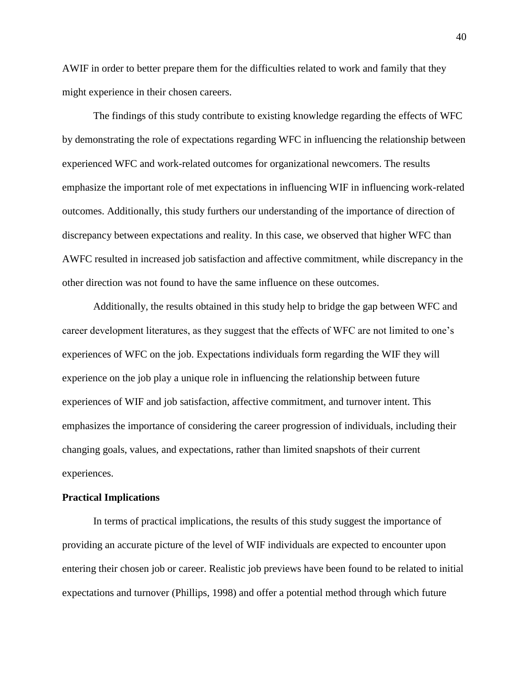AWIF in order to better prepare them for the difficulties related to work and family that they might experience in their chosen careers.

The findings of this study contribute to existing knowledge regarding the effects of WFC by demonstrating the role of expectations regarding WFC in influencing the relationship between experienced WFC and work-related outcomes for organizational newcomers. The results emphasize the important role of met expectations in influencing WIF in influencing work-related outcomes. Additionally, this study furthers our understanding of the importance of direction of discrepancy between expectations and reality. In this case, we observed that higher WFC than AWFC resulted in increased job satisfaction and affective commitment, while discrepancy in the other direction was not found to have the same influence on these outcomes.

Additionally, the results obtained in this study help to bridge the gap between WFC and career development literatures, as they suggest that the effects of WFC are not limited to one's experiences of WFC on the job. Expectations individuals form regarding the WIF they will experience on the job play a unique role in influencing the relationship between future experiences of WIF and job satisfaction, affective commitment, and turnover intent. This emphasizes the importance of considering the career progression of individuals, including their changing goals, values, and expectations, rather than limited snapshots of their current experiences.

#### **Practical Implications**

In terms of practical implications, the results of this study suggest the importance of providing an accurate picture of the level of WIF individuals are expected to encounter upon entering their chosen job or career. Realistic job previews have been found to be related to initial expectations and turnover (Phillips, 1998) and offer a potential method through which future

40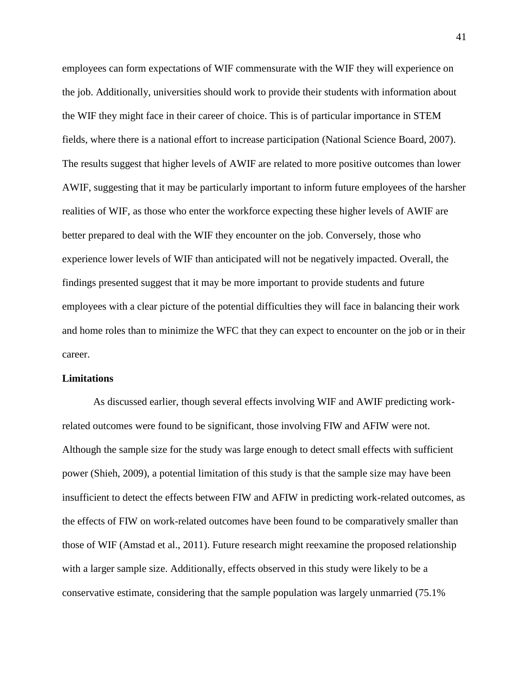employees can form expectations of WIF commensurate with the WIF they will experience on the job. Additionally, universities should work to provide their students with information about the WIF they might face in their career of choice. This is of particular importance in STEM fields, where there is a national effort to increase participation (National Science Board, 2007). The results suggest that higher levels of AWIF are related to more positive outcomes than lower AWIF, suggesting that it may be particularly important to inform future employees of the harsher realities of WIF, as those who enter the workforce expecting these higher levels of AWIF are better prepared to deal with the WIF they encounter on the job. Conversely, those who experience lower levels of WIF than anticipated will not be negatively impacted. Overall, the findings presented suggest that it may be more important to provide students and future employees with a clear picture of the potential difficulties they will face in balancing their work and home roles than to minimize the WFC that they can expect to encounter on the job or in their career.

#### **Limitations**

As discussed earlier, though several effects involving WIF and AWIF predicting workrelated outcomes were found to be significant, those involving FIW and AFIW were not. Although the sample size for the study was large enough to detect small effects with sufficient power (Shieh, 2009), a potential limitation of this study is that the sample size may have been insufficient to detect the effects between FIW and AFIW in predicting work-related outcomes, as the effects of FIW on work-related outcomes have been found to be comparatively smaller than those of WIF (Amstad et al., 2011). Future research might reexamine the proposed relationship with a larger sample size. Additionally, effects observed in this study were likely to be a conservative estimate, considering that the sample population was largely unmarried (75.1%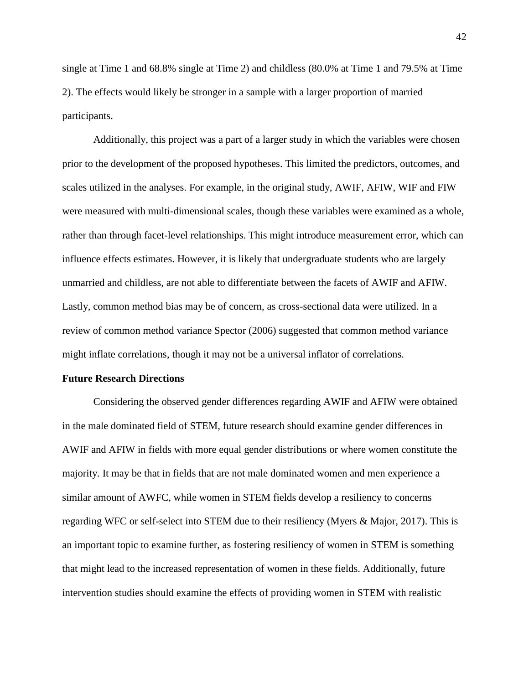single at Time 1 and 68.8% single at Time 2) and childless (80.0% at Time 1 and 79.5% at Time 2). The effects would likely be stronger in a sample with a larger proportion of married participants.

Additionally, this project was a part of a larger study in which the variables were chosen prior to the development of the proposed hypotheses. This limited the predictors, outcomes, and scales utilized in the analyses. For example, in the original study, AWIF, AFIW, WIF and FIW were measured with multi-dimensional scales, though these variables were examined as a whole, rather than through facet-level relationships. This might introduce measurement error, which can influence effects estimates. However, it is likely that undergraduate students who are largely unmarried and childless, are not able to differentiate between the facets of AWIF and AFIW. Lastly, common method bias may be of concern, as cross-sectional data were utilized. In a review of common method variance Spector (2006) suggested that common method variance might inflate correlations, though it may not be a universal inflator of correlations.

#### **Future Research Directions**

Considering the observed gender differences regarding AWIF and AFIW were obtained in the male dominated field of STEM, future research should examine gender differences in AWIF and AFIW in fields with more equal gender distributions or where women constitute the majority. It may be that in fields that are not male dominated women and men experience a similar amount of AWFC, while women in STEM fields develop a resiliency to concerns regarding WFC or self-select into STEM due to their resiliency (Myers & Major, 2017). This is an important topic to examine further, as fostering resiliency of women in STEM is something that might lead to the increased representation of women in these fields. Additionally, future intervention studies should examine the effects of providing women in STEM with realistic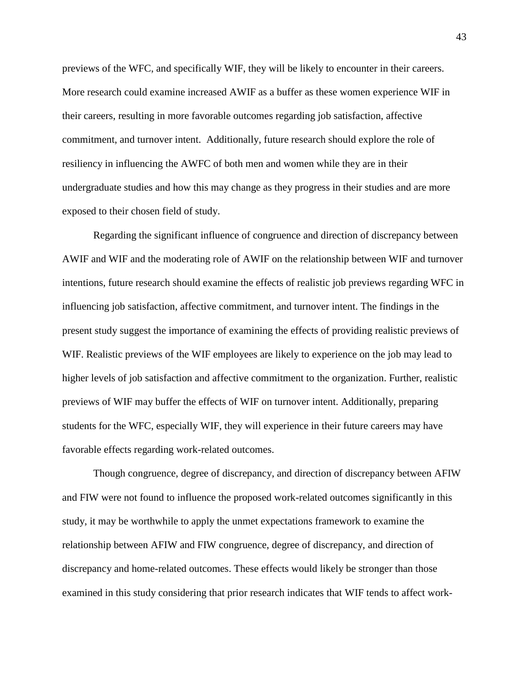previews of the WFC, and specifically WIF, they will be likely to encounter in their careers. More research could examine increased AWIF as a buffer as these women experience WIF in their careers, resulting in more favorable outcomes regarding job satisfaction, affective commitment, and turnover intent. Additionally, future research should explore the role of resiliency in influencing the AWFC of both men and women while they are in their undergraduate studies and how this may change as they progress in their studies and are more exposed to their chosen field of study.

Regarding the significant influence of congruence and direction of discrepancy between AWIF and WIF and the moderating role of AWIF on the relationship between WIF and turnover intentions, future research should examine the effects of realistic job previews regarding WFC in influencing job satisfaction, affective commitment, and turnover intent. The findings in the present study suggest the importance of examining the effects of providing realistic previews of WIF. Realistic previews of the WIF employees are likely to experience on the job may lead to higher levels of job satisfaction and affective commitment to the organization. Further, realistic previews of WIF may buffer the effects of WIF on turnover intent. Additionally, preparing students for the WFC, especially WIF, they will experience in their future careers may have favorable effects regarding work-related outcomes.

Though congruence, degree of discrepancy, and direction of discrepancy between AFIW and FIW were not found to influence the proposed work-related outcomes significantly in this study, it may be worthwhile to apply the unmet expectations framework to examine the relationship between AFIW and FIW congruence, degree of discrepancy, and direction of discrepancy and home-related outcomes. These effects would likely be stronger than those examined in this study considering that prior research indicates that WIF tends to affect work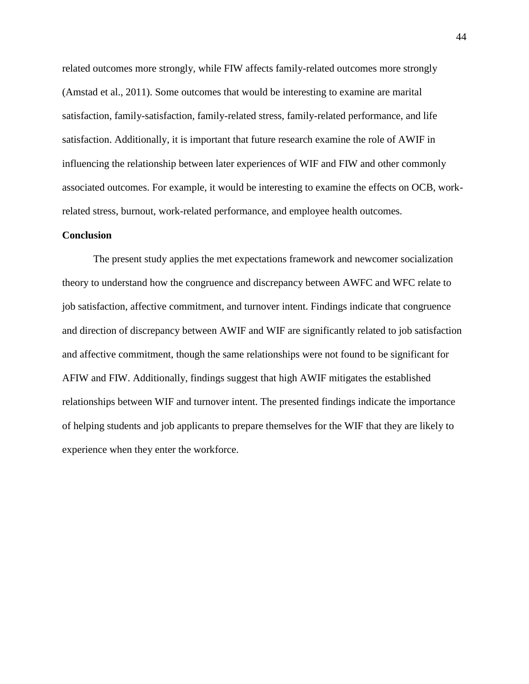related outcomes more strongly, while FIW affects family-related outcomes more strongly (Amstad et al., 2011). Some outcomes that would be interesting to examine are marital satisfaction, family-satisfaction, family-related stress, family-related performance, and life satisfaction. Additionally, it is important that future research examine the role of AWIF in influencing the relationship between later experiences of WIF and FIW and other commonly associated outcomes. For example, it would be interesting to examine the effects on OCB, workrelated stress, burnout, work-related performance, and employee health outcomes.

#### **Conclusion**

The present study applies the met expectations framework and newcomer socialization theory to understand how the congruence and discrepancy between AWFC and WFC relate to job satisfaction, affective commitment, and turnover intent. Findings indicate that congruence and direction of discrepancy between AWIF and WIF are significantly related to job satisfaction and affective commitment, though the same relationships were not found to be significant for AFIW and FIW. Additionally, findings suggest that high AWIF mitigates the established relationships between WIF and turnover intent. The presented findings indicate the importance of helping students and job applicants to prepare themselves for the WIF that they are likely to experience when they enter the workforce.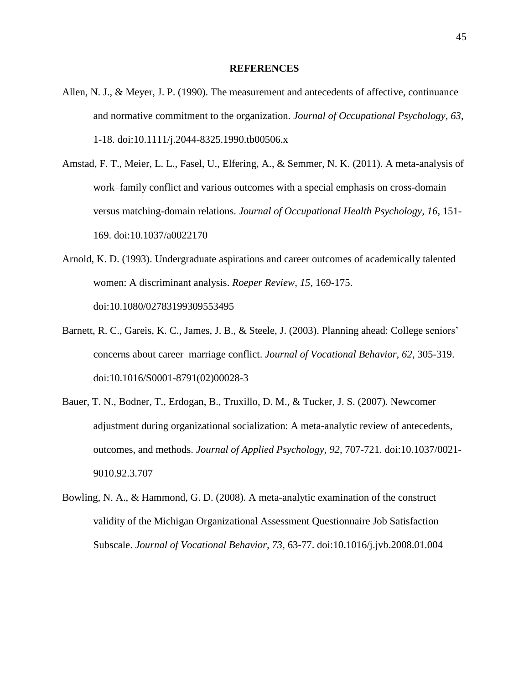#### **REFERENCES**

- Allen, N. J., & Meyer, J. P. (1990). The measurement and antecedents of affective, continuance and normative commitment to the organization. *Journal of Occupational Psychology, 63*, 1-18. doi:10.1111/j.2044-8325.1990.tb00506.x
- Amstad, F. T., Meier, L. L., Fasel, U., Elfering, A., & Semmer, N. K. (2011). A meta-analysis of work–family conflict and various outcomes with a special emphasis on cross-domain versus matching-domain relations. *Journal of Occupational Health Psychology, 16*, 151- 169. doi:10.1037/a0022170
- Arnold, K. D. (1993). Undergraduate aspirations and career outcomes of academically talented women: A discriminant analysis. *Roeper Review, 15*, 169-175. doi:10.1080/02783199309553495
- Barnett, R. C., Gareis, K. C., James, J. B., & Steele, J. (2003). Planning ahead: College seniors' concerns about career–marriage conflict. *Journal of Vocational Behavior, 62*, 305-319. doi:10.1016/S0001-8791(02)00028-3
- Bauer, T. N., Bodner, T., Erdogan, B., Truxillo, D. M., & Tucker, J. S. (2007). Newcomer adjustment during organizational socialization: A meta-analytic review of antecedents, outcomes, and methods. *Journal of Applied Psychology, 92*, 707-721. doi:10.1037/0021- 9010.92.3.707
- Bowling, N. A., & Hammond, G. D. (2008). A meta-analytic examination of the construct validity of the Michigan Organizational Assessment Questionnaire Job Satisfaction Subscale. *Journal of Vocational Behavior, 73*, 63-77. doi:10.1016/j.jvb.2008.01.004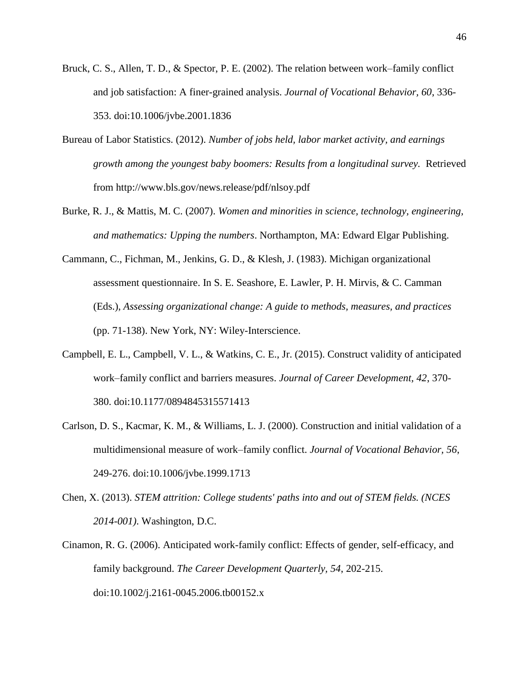- Bruck, C. S., Allen, T. D., & Spector, P. E. (2002). The relation between work–family conflict and job satisfaction: A finer-grained analysis. *Journal of Vocational Behavior, 60*, 336- 353. doi:10.1006/jvbe.2001.1836
- Bureau of Labor Statistics. (2012). *Number of jobs held, labor market activity, and earnings growth among the youngest baby boomers: Results from a longitudinal survey.* Retrieved from http://www.bls.gov/news.release/pdf/nlsoy.pdf
- Burke, R. J., & Mattis, M. C. (2007). *Women and minorities in science, technology, engineering, and mathematics: Upping the numbers*. Northampton, MA: Edward Elgar Publishing.
- Cammann, C., Fichman, M., Jenkins, G. D., & Klesh, J. (1983). Michigan organizational assessment questionnaire. In S. E. Seashore, E. Lawler, P. H. Mirvis, & C. Camman (Eds.), *Assessing organizational change: A guide to methods, measures, and practices* (pp. 71-138). New York, NY: Wiley-Interscience.
- Campbell, E. L., Campbell, V. L., & Watkins, C. E., Jr. (2015). Construct validity of anticipated work–family conflict and barriers measures. *Journal of Career Development, 42*, 370- 380. doi:10.1177/0894845315571413
- Carlson, D. S., Kacmar, K. M., & Williams, L. J. (2000). Construction and initial validation of a multidimensional measure of work–family conflict. *Journal of Vocational Behavior, 56*, 249-276. doi:10.1006/jvbe.1999.1713
- Chen, X. (2013). *STEM attrition: College students' paths into and out of STEM fields. (NCES 2014-001)*. Washington, D.C.
- Cinamon, R. G. (2006). Anticipated work-family conflict: Effects of gender, self-efficacy, and family background. *The Career Development Quarterly, 54*, 202-215. doi:10.1002/j.2161-0045.2006.tb00152.x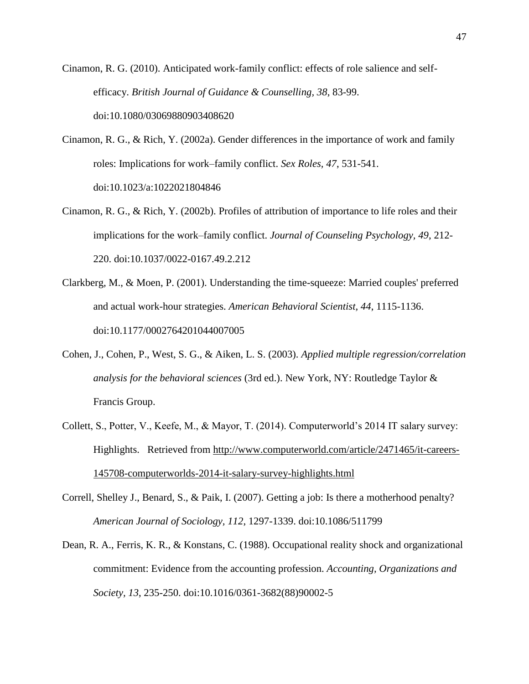Cinamon, R. G. (2010). Anticipated work-family conflict: effects of role salience and selfefficacy. *British Journal of Guidance & Counselling, 38*, 83-99. doi:10.1080/03069880903408620

- Cinamon, R. G., & Rich, Y. (2002a). Gender differences in the importance of work and family roles: Implications for work–family conflict. *Sex Roles, 47*, 531-541. doi:10.1023/a:1022021804846
- Cinamon, R. G., & Rich, Y. (2002b). Profiles of attribution of importance to life roles and their implications for the work–family conflict. *Journal of Counseling Psychology, 49*, 212- 220. doi:10.1037/0022-0167.49.2.212
- Clarkberg, M., & Moen, P. (2001). Understanding the time-squeeze: Married couples' preferred and actual work-hour strategies. *American Behavioral Scientist, 44*, 1115-1136. doi:10.1177/0002764201044007005
- Cohen, J., Cohen, P., West, S. G., & Aiken, L. S. (2003). *Applied multiple regression/correlation analysis for the behavioral sciences* (3rd ed.). New York, NY: Routledge Taylor & Francis Group.
- Collett, S., Potter, V., Keefe, M., & Mayor, T. (2014). Computerworld's 2014 IT salary survey: Highlights. Retrieved from http://www.computerworld.com/article/2471465/it-careers-145708-computerworlds-2014-it-salary-survey-highlights.html
- Correll, Shelley J., Benard, S., & Paik, I. (2007). Getting a job: Is there a motherhood penalty? *American Journal of Sociology, 112*, 1297-1339. doi:10.1086/511799
- Dean, R. A., Ferris, K. R., & Konstans, C. (1988). Occupational reality shock and organizational commitment: Evidence from the accounting profession. *Accounting, Organizations and Society, 13*, 235-250. doi:10.1016/0361-3682(88)90002-5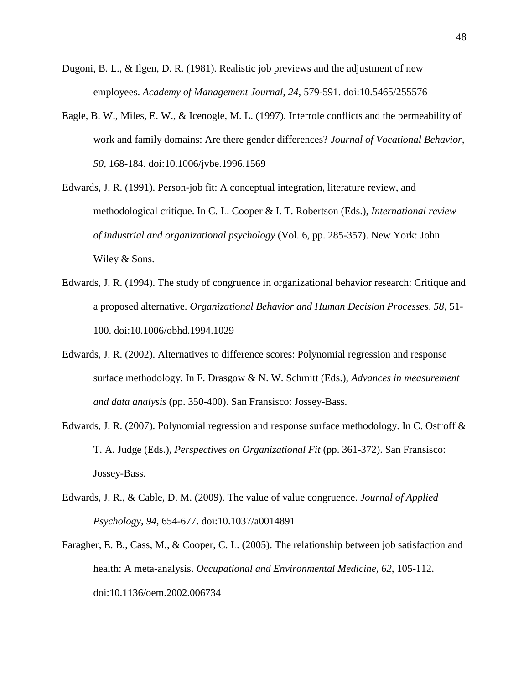- Dugoni, B. L., & Ilgen, D. R. (1981). Realistic job previews and the adjustment of new employees. *Academy of Management Journal, 24*, 579-591. doi:10.5465/255576
- Eagle, B. W., Miles, E. W., & Icenogle, M. L. (1997). Interrole conflicts and the permeability of work and family domains: Are there gender differences? *Journal of Vocational Behavior, 50*, 168-184. doi:10.1006/jvbe.1996.1569
- Edwards, J. R. (1991). Person-job fit: A conceptual integration, literature review, and methodological critique. In C. L. Cooper & I. T. Robertson (Eds.), *International review of industrial and organizational psychology* (Vol. 6, pp. 285-357). New York: John Wiley & Sons.
- Edwards, J. R. (1994). The study of congruence in organizational behavior research: Critique and a proposed alternative. *Organizational Behavior and Human Decision Processes, 58*, 51- 100. doi:10.1006/obhd.1994.1029
- Edwards, J. R. (2002). Alternatives to difference scores: Polynomial regression and response surface methodology. In F. Drasgow & N. W. Schmitt (Eds.), *Advances in measurement and data analysis* (pp. 350-400). San Fransisco: Jossey-Bass.
- Edwards, J. R. (2007). Polynomial regression and response surface methodology. In C. Ostroff & T. A. Judge (Eds.), *Perspectives on Organizational Fit* (pp. 361-372). San Fransisco: Jossey-Bass.
- Edwards, J. R., & Cable, D. M. (2009). The value of value congruence. *Journal of Applied Psychology, 94*, 654-677. doi:10.1037/a0014891
- Faragher, E. B., Cass, M., & Cooper, C. L. (2005). The relationship between job satisfaction and health: A meta-analysis. *Occupational and Environmental Medicine, 62*, 105-112. doi:10.1136/oem.2002.006734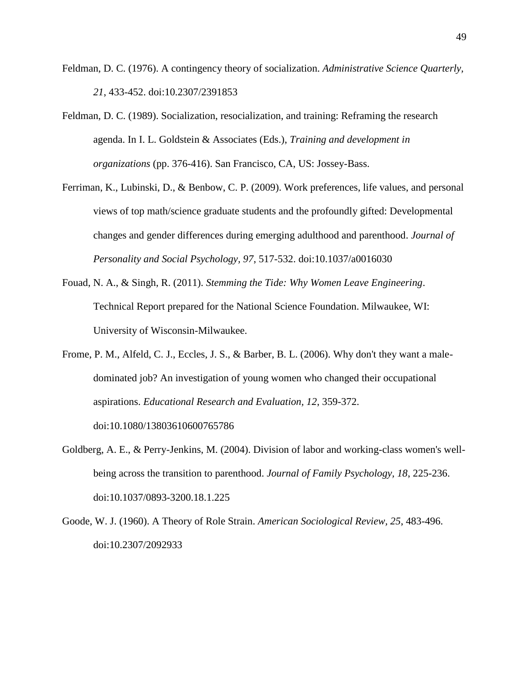- Feldman, D. C. (1976). A contingency theory of socialization. *Administrative Science Quarterly, 21*, 433-452. doi:10.2307/2391853
- Feldman, D. C. (1989). Socialization, resocialization, and training: Reframing the research agenda. In I. L. Goldstein & Associates (Eds.), *Training and development in organizations* (pp. 376-416). San Francisco, CA, US: Jossey-Bass.
- Ferriman, K., Lubinski, D., & Benbow, C. P. (2009). Work preferences, life values, and personal views of top math/science graduate students and the profoundly gifted: Developmental changes and gender differences during emerging adulthood and parenthood. *Journal of Personality and Social Psychology, 97*, 517-532. doi:10.1037/a0016030
- Fouad, N. A., & Singh, R. (2011). *Stemming the Tide: Why Women Leave Engineering*. Technical Report prepared for the National Science Foundation. Milwaukee, WI: University of Wisconsin-Milwaukee.
- Frome, P. M., Alfeld, C. J., Eccles, J. S., & Barber, B. L. (2006). Why don't they want a maledominated job? An investigation of young women who changed their occupational aspirations. *Educational Research and Evaluation, 12*, 359-372. doi:10.1080/13803610600765786
- Goldberg, A. E., & Perry-Jenkins, M. (2004). Division of labor and working-class women's wellbeing across the transition to parenthood. *Journal of Family Psychology, 18*, 225-236. doi:10.1037/0893-3200.18.1.225
- Goode, W. J. (1960). A Theory of Role Strain. *American Sociological Review, 25*, 483-496. doi:10.2307/2092933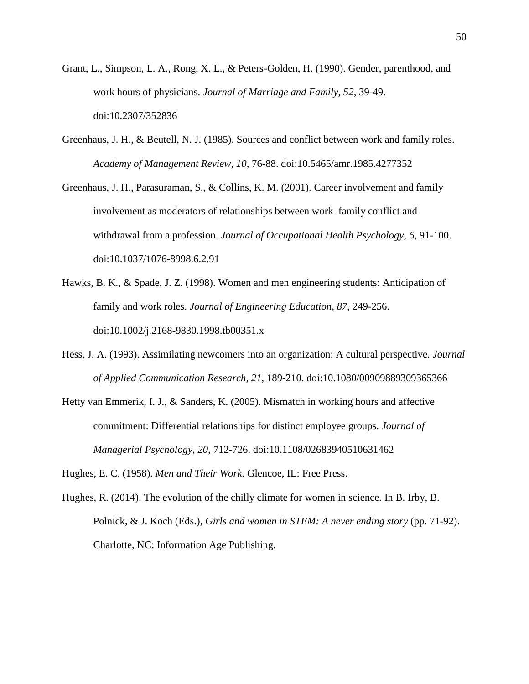- Grant, L., Simpson, L. A., Rong, X. L., & Peters-Golden, H. (1990). Gender, parenthood, and work hours of physicians. *Journal of Marriage and Family, 52*, 39-49. doi:10.2307/352836
- Greenhaus, J. H., & Beutell, N. J. (1985). Sources and conflict between work and family roles. *Academy of Management Review, 10*, 76-88. doi:10.5465/amr.1985.4277352
- Greenhaus, J. H., Parasuraman, S., & Collins, K. M. (2001). Career involvement and family involvement as moderators of relationships between work–family conflict and withdrawal from a profession. *Journal of Occupational Health Psychology, 6*, 91-100. doi:10.1037/1076-8998.6.2.91
- Hawks, B. K., & Spade, J. Z. (1998). Women and men engineering students: Anticipation of family and work roles. *Journal of Engineering Education, 87*, 249-256. doi:10.1002/j.2168-9830.1998.tb00351.x
- Hess, J. A. (1993). Assimilating newcomers into an organization: A cultural perspective. *Journal of Applied Communication Research, 21*, 189-210. doi:10.1080/00909889309365366
- Hetty van Emmerik, I. J., & Sanders, K. (2005). Mismatch in working hours and affective commitment: Differential relationships for distinct employee groups. *Journal of Managerial Psychology, 20*, 712-726. doi:10.1108/02683940510631462

Hughes, E. C. (1958). *Men and Their Work*. Glencoe, IL: Free Press.

Hughes, R. (2014). The evolution of the chilly climate for women in science. In B. Irby, B. Polnick, & J. Koch (Eds.), *Girls and women in STEM: A never ending story* (pp. 71-92). Charlotte, NC: Information Age Publishing.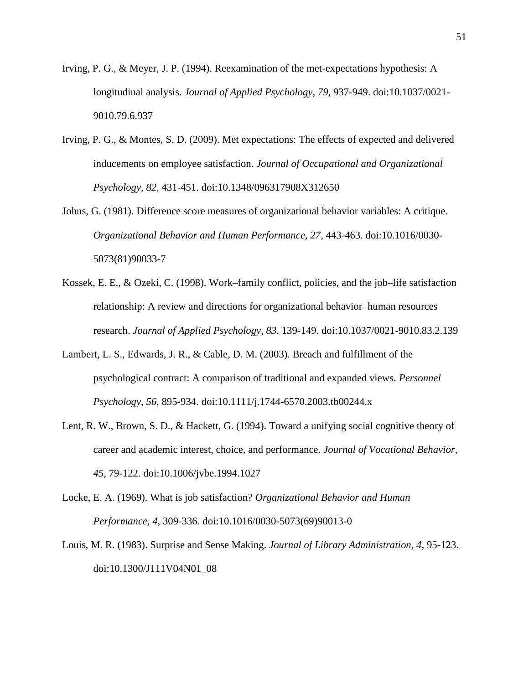- Irving, P. G., & Meyer, J. P. (1994). Reexamination of the met-expectations hypothesis: A longitudinal analysis. *Journal of Applied Psychology, 79*, 937-949. doi:10.1037/0021- 9010.79.6.937
- Irving, P. G., & Montes, S. D. (2009). Met expectations: The effects of expected and delivered inducements on employee satisfaction. *Journal of Occupational and Organizational Psychology, 82*, 431-451. doi:10.1348/096317908X312650
- Johns, G. (1981). Difference score measures of organizational behavior variables: A critique. *Organizational Behavior and Human Performance, 27*, 443-463. doi:10.1016/0030- 5073(81)90033-7
- Kossek, E. E., & Ozeki, C. (1998). Work–family conflict, policies, and the job–life satisfaction relationship: A review and directions for organizational behavior–human resources research. *Journal of Applied Psychology, 83*, 139-149. doi:10.1037/0021-9010.83.2.139
- Lambert, L. S., Edwards, J. R., & Cable, D. M. (2003). Breach and fulfillment of the psychological contract: A comparison of traditional and expanded views. *Personnel Psychology, 56*, 895-934. doi:10.1111/j.1744-6570.2003.tb00244.x
- Lent, R. W., Brown, S. D., & Hackett, G. (1994). Toward a unifying social cognitive theory of career and academic interest, choice, and performance. *Journal of Vocational Behavior, 45*, 79-122. doi:10.1006/jvbe.1994.1027
- Locke, E. A. (1969). What is job satisfaction? *Organizational Behavior and Human Performance, 4*, 309-336. doi:10.1016/0030-5073(69)90013-0
- Louis, M. R. (1983). Surprise and Sense Making. *Journal of Library Administration, 4*, 95-123. doi:10.1300/J111V04N01\_08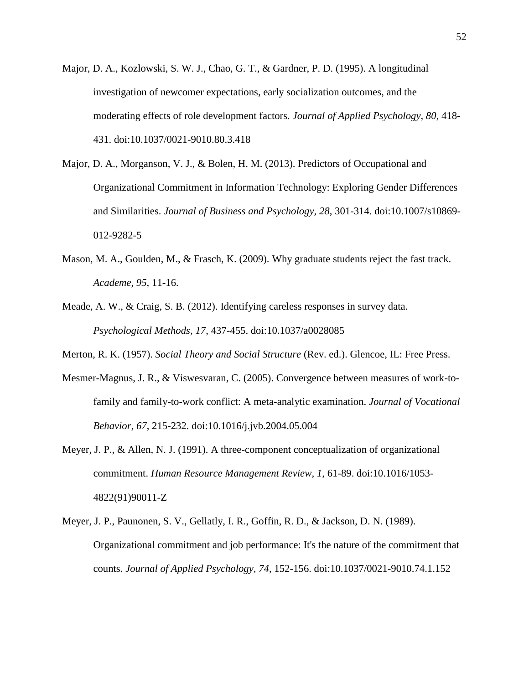- Major, D. A., Kozlowski, S. W. J., Chao, G. T., & Gardner, P. D. (1995). A longitudinal investigation of newcomer expectations, early socialization outcomes, and the moderating effects of role development factors. *Journal of Applied Psychology, 80*, 418- 431. doi:10.1037/0021-9010.80.3.418
- Major, D. A., Morganson, V. J., & Bolen, H. M. (2013). Predictors of Occupational and Organizational Commitment in Information Technology: Exploring Gender Differences and Similarities. *Journal of Business and Psychology, 28*, 301-314. doi:10.1007/s10869- 012-9282-5
- Mason, M. A., Goulden, M., & Frasch, K. (2009). Why graduate students reject the fast track. *Academe, 95*, 11-16.
- Meade, A. W., & Craig, S. B. (2012). Identifying careless responses in survey data. *Psychological Methods, 17*, 437-455. doi:10.1037/a0028085
- Merton, R. K. (1957). *Social Theory and Social Structure* (Rev. ed.). Glencoe, IL: Free Press.
- Mesmer-Magnus, J. R., & Viswesvaran, C. (2005). Convergence between measures of work-tofamily and family-to-work conflict: A meta-analytic examination. *Journal of Vocational Behavior, 67*, 215-232. doi:10.1016/j.jvb.2004.05.004
- Meyer, J. P., & Allen, N. J. (1991). A three-component conceptualization of organizational commitment. *Human Resource Management Review, 1*, 61-89. doi:10.1016/1053- 4822(91)90011-Z
- Meyer, J. P., Paunonen, S. V., Gellatly, I. R., Goffin, R. D., & Jackson, D. N. (1989). Organizational commitment and job performance: It's the nature of the commitment that counts. *Journal of Applied Psychology, 74*, 152-156. doi:10.1037/0021-9010.74.1.152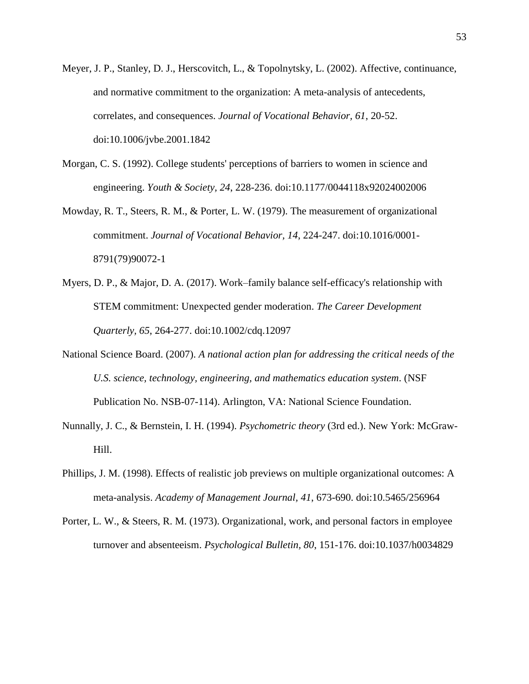- Meyer, J. P., Stanley, D. J., Herscovitch, L., & Topolnytsky, L. (2002). Affective, continuance, and normative commitment to the organization: A meta-analysis of antecedents, correlates, and consequences. *Journal of Vocational Behavior, 61*, 20-52. doi:10.1006/jvbe.2001.1842
- Morgan, C. S. (1992). College students' perceptions of barriers to women in science and engineering. *Youth & Society, 24*, 228-236. doi:10.1177/0044118x92024002006
- Mowday, R. T., Steers, R. M., & Porter, L. W. (1979). The measurement of organizational commitment. *Journal of Vocational Behavior, 14*, 224-247. doi:10.1016/0001- 8791(79)90072-1
- Myers, D. P., & Major, D. A. (2017). Work–family balance self-efficacy's relationship with STEM commitment: Unexpected gender moderation. *The Career Development Quarterly, 65*, 264-277. doi:10.1002/cdq.12097
- National Science Board. (2007). *A national action plan for addressing the critical needs of the U.S. science, technology, engineering, and mathematics education system*. (NSF Publication No. NSB-07-114). Arlington, VA: National Science Foundation.
- Nunnally, J. C., & Bernstein, I. H. (1994). *Psychometric theory* (3rd ed.). New York: McGraw-Hill.
- Phillips, J. M. (1998). Effects of realistic job previews on multiple organizational outcomes: A meta-analysis. *Academy of Management Journal, 41*, 673-690. doi:10.5465/256964
- Porter, L. W., & Steers, R. M. (1973). Organizational, work, and personal factors in employee turnover and absenteeism. *Psychological Bulletin, 80*, 151-176. doi:10.1037/h0034829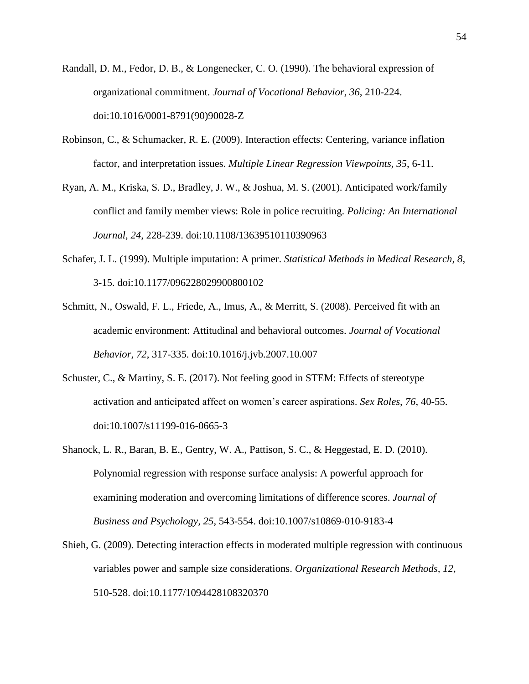- Randall, D. M., Fedor, D. B., & Longenecker, C. O. (1990). The behavioral expression of organizational commitment. *Journal of Vocational Behavior, 36*, 210-224. doi:10.1016/0001-8791(90)90028-Z
- Robinson, C., & Schumacker, R. E. (2009). Interaction effects: Centering, variance inflation factor, and interpretation issues. *Multiple Linear Regression Viewpoints, 35*, 6-11.
- Ryan, A. M., Kriska, S. D., Bradley, J. W., & Joshua, M. S. (2001). Anticipated work/family conflict and family member views: Role in police recruiting. *Policing: An International Journal, 24*, 228-239. doi:10.1108/13639510110390963
- Schafer, J. L. (1999). Multiple imputation: A primer. *Statistical Methods in Medical Research, 8*, 3-15. doi:10.1177/096228029900800102
- Schmitt, N., Oswald, F. L., Friede, A., Imus, A., & Merritt, S. (2008). Perceived fit with an academic environment: Attitudinal and behavioral outcomes. *Journal of Vocational Behavior, 72*, 317-335. doi:10.1016/j.jvb.2007.10.007
- Schuster, C., & Martiny, S. E. (2017). Not feeling good in STEM: Effects of stereotype activation and anticipated affect on women's career aspirations. *Sex Roles, 76*, 40-55. doi:10.1007/s11199-016-0665-3
- Shanock, L. R., Baran, B. E., Gentry, W. A., Pattison, S. C., & Heggestad, E. D. (2010). Polynomial regression with response surface analysis: A powerful approach for examining moderation and overcoming limitations of difference scores. *Journal of Business and Psychology, 25*, 543-554. doi:10.1007/s10869-010-9183-4
- Shieh, G. (2009). Detecting interaction effects in moderated multiple regression with continuous variables power and sample size considerations. *Organizational Research Methods, 12*, 510-528. doi:10.1177/1094428108320370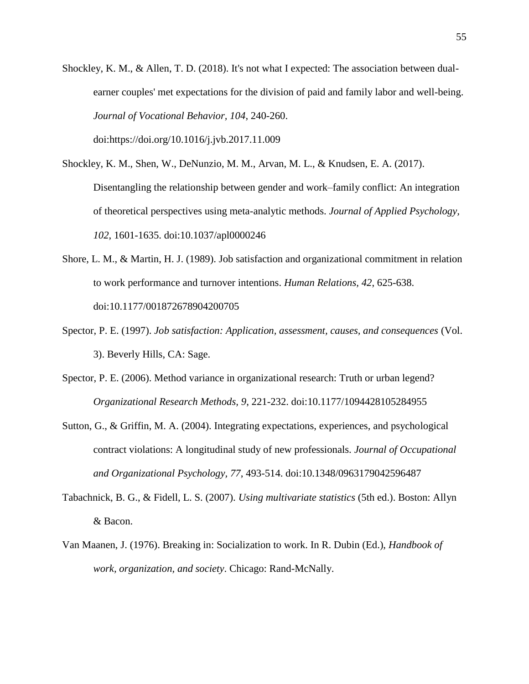- Shockley, K. M., & Allen, T. D. (2018). It's not what I expected: The association between dualearner couples' met expectations for the division of paid and family labor and well-being. *Journal of Vocational Behavior, 104*, 240-260.
	- doi:https://doi.org/10.1016/j.jvb.2017.11.009
- Shockley, K. M., Shen, W., DeNunzio, M. M., Arvan, M. L., & Knudsen, E. A. (2017). Disentangling the relationship between gender and work–family conflict: An integration of theoretical perspectives using meta-analytic methods. *Journal of Applied Psychology, 102*, 1601-1635. doi:10.1037/apl0000246
- Shore, L. M., & Martin, H. J. (1989). Job satisfaction and organizational commitment in relation to work performance and turnover intentions. *Human Relations, 42*, 625-638. doi:10.1177/001872678904200705
- Spector, P. E. (1997). *Job satisfaction: Application, assessment, causes, and consequences* (Vol. 3). Beverly Hills, CA: Sage.
- Spector, P. E. (2006). Method variance in organizational research: Truth or urban legend? *Organizational Research Methods, 9*, 221-232. doi:10.1177/1094428105284955
- Sutton, G., & Griffin, M. A. (2004). Integrating expectations, experiences, and psychological contract violations: A longitudinal study of new professionals. *Journal of Occupational and Organizational Psychology, 77*, 493-514. doi:10.1348/0963179042596487
- Tabachnick, B. G., & Fidell, L. S. (2007). *Using multivariate statistics* (5th ed.). Boston: Allyn & Bacon.
- Van Maanen, J. (1976). Breaking in: Socialization to work. In R. Dubin (Ed.), *Handbook of work, organization, and society*. Chicago: Rand-McNally.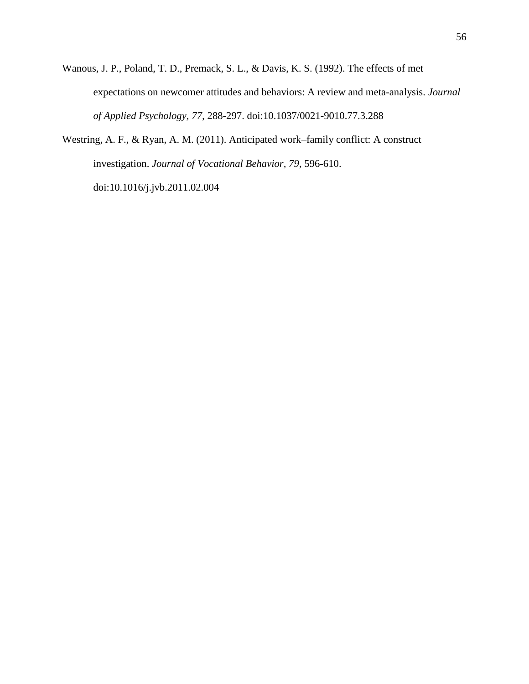- Wanous, J. P., Poland, T. D., Premack, S. L., & Davis, K. S. (1992). The effects of met expectations on newcomer attitudes and behaviors: A review and meta-analysis. *Journal of Applied Psychology, 77*, 288-297. doi:10.1037/0021-9010.77.3.288
- Westring, A. F., & Ryan, A. M. (2011). Anticipated work–family conflict: A construct investigation. *Journal of Vocational Behavior, 79*, 596-610. doi:10.1016/j.jvb.2011.02.004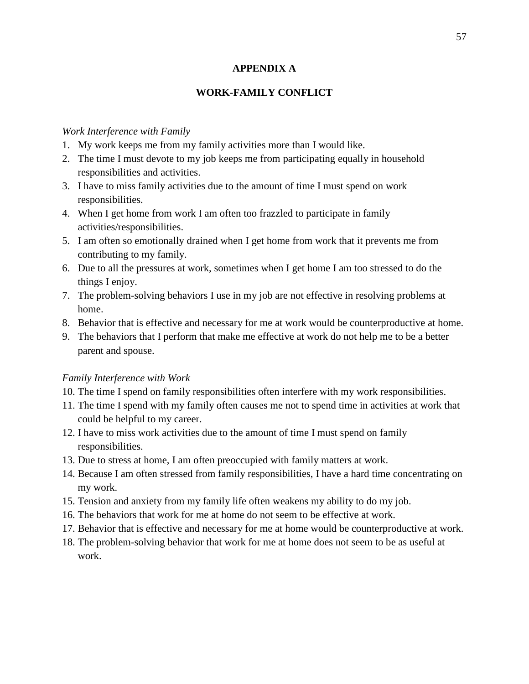# **APPENDIX A**

# **WORK-FAMILY CONFLICT**

## *Work Interference with Family*

- 1. My work keeps me from my family activities more than I would like.
- 2. The time I must devote to my job keeps me from participating equally in household responsibilities and activities.
- 3. I have to miss family activities due to the amount of time I must spend on work responsibilities.
- 4. When I get home from work I am often too frazzled to participate in family activities/responsibilities.
- 5. I am often so emotionally drained when I get home from work that it prevents me from contributing to my family.
- 6. Due to all the pressures at work, sometimes when I get home I am too stressed to do the things I enjoy.
- 7. The problem-solving behaviors I use in my job are not effective in resolving problems at home.
- 8. Behavior that is effective and necessary for me at work would be counterproductive at home.
- 9. The behaviors that I perform that make me effective at work do not help me to be a better parent and spouse.

# *Family Interference with Work*

- 10. The time I spend on family responsibilities often interfere with my work responsibilities.
- 11. The time I spend with my family often causes me not to spend time in activities at work that could be helpful to my career.
- 12. I have to miss work activities due to the amount of time I must spend on family responsibilities.
- 13. Due to stress at home, I am often preoccupied with family matters at work.
- 14. Because I am often stressed from family responsibilities, I have a hard time concentrating on my work.
- 15. Tension and anxiety from my family life often weakens my ability to do my job.
- 16. The behaviors that work for me at home do not seem to be effective at work.
- 17. Behavior that is effective and necessary for me at home would be counterproductive at work.
- 18. The problem-solving behavior that work for me at home does not seem to be as useful at work.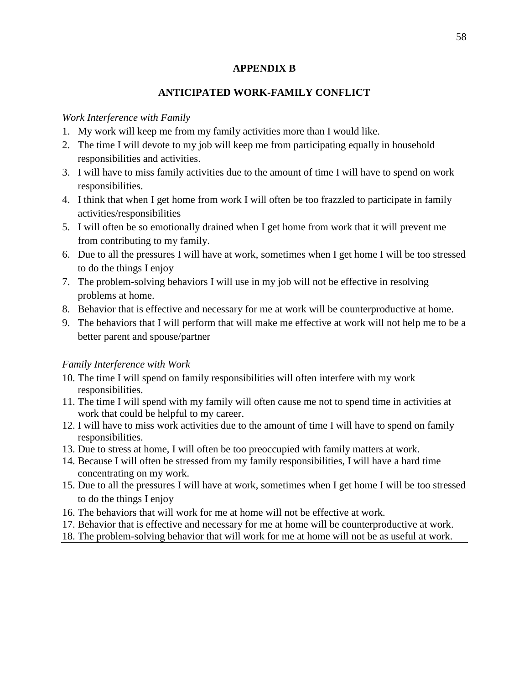### **APPENDIX B**

# **ANTICIPATED WORK-FAMILY CONFLICT**

## *Work Interference with Family*

- 1. My work will keep me from my family activities more than I would like.
- 2. The time I will devote to my job will keep me from participating equally in household responsibilities and activities.
- 3. I will have to miss family activities due to the amount of time I will have to spend on work responsibilities.
- 4. I think that when I get home from work I will often be too frazzled to participate in family activities/responsibilities
- 5. I will often be so emotionally drained when I get home from work that it will prevent me from contributing to my family.
- 6. Due to all the pressures I will have at work, sometimes when I get home I will be too stressed to do the things I enjoy
- 7. The problem-solving behaviors I will use in my job will not be effective in resolving problems at home.
- 8. Behavior that is effective and necessary for me at work will be counterproductive at home.
- 9. The behaviors that I will perform that will make me effective at work will not help me to be a better parent and spouse/partner

# *Family Interference with Work*

- 10. The time I will spend on family responsibilities will often interfere with my work responsibilities.
- 11. The time I will spend with my family will often cause me not to spend time in activities at work that could be helpful to my career.
- 12. I will have to miss work activities due to the amount of time I will have to spend on family responsibilities.
- 13. Due to stress at home, I will often be too preoccupied with family matters at work.
- 14. Because I will often be stressed from my family responsibilities, I will have a hard time concentrating on my work.
- 15. Due to all the pressures I will have at work, sometimes when I get home I will be too stressed to do the things I enjoy
- 16. The behaviors that will work for me at home will not be effective at work.
- 17. Behavior that is effective and necessary for me at home will be counterproductive at work.
- 18. The problem-solving behavior that will work for me at home will not be as useful at work.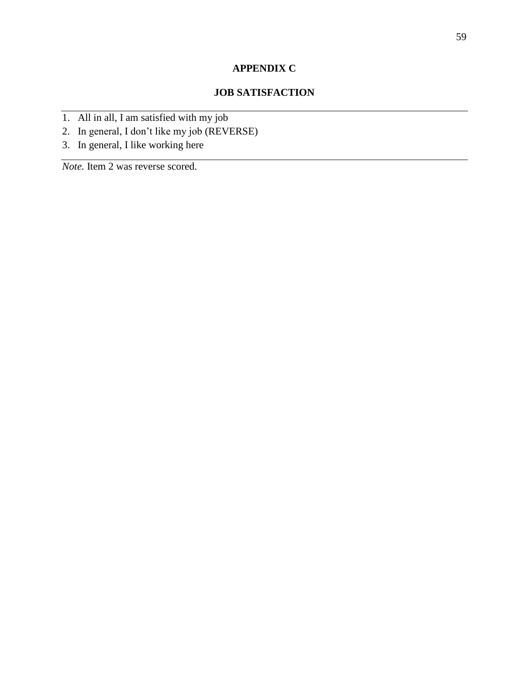# **APPENDIX C**

# **JOB SATISFACTION**

- 1. All in all, I am satisfied with my job
- 2. In general, I don't like my job (REVERSE)
- 3. In general, I like working here

*Note.* Item 2 was reverse scored.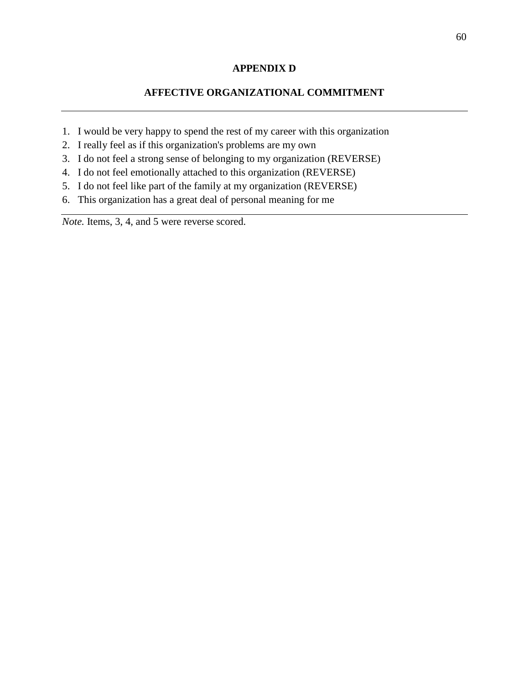# **APPENDIX D**

# **AFFECTIVE ORGANIZATIONAL COMMITMENT**

- 1. I would be very happy to spend the rest of my career with this organization
- 2. I really feel as if this organization's problems are my own
- 3. I do not feel a strong sense of belonging to my organization (REVERSE)
- 4. I do not feel emotionally attached to this organization (REVERSE)
- 5. I do not feel like part of the family at my organization (REVERSE)
- 6. This organization has a great deal of personal meaning for me

*Note.* Items, 3, 4, and 5 were reverse scored.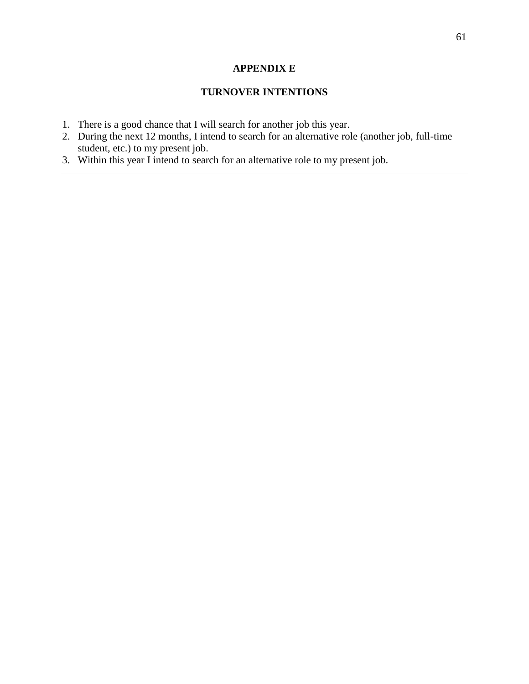# **APPENDIX E**

# **TURNOVER INTENTIONS**

- 1. There is a good chance that I will search for another job this year.
- 2. During the next 12 months, I intend to search for an alternative role (another job, full-time student, etc.) to my present job.
- 3. Within this year I intend to search for an alternative role to my present job.